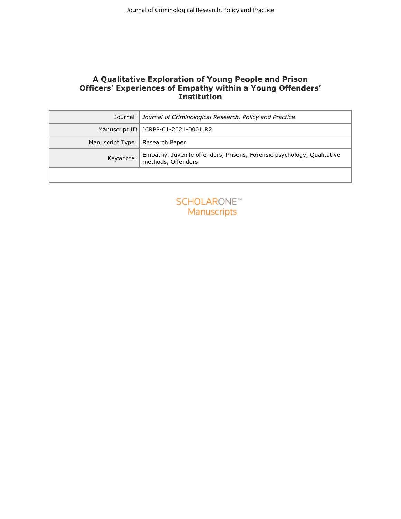# **A Qualitative Exploration of Young People and Prison Officers' Experiences of Empathy within a Young Offenders' Institution**

| A Qualitative Exploration of Young People and Prison<br>Officers' Experiences of Empathy within a Young Offenders'<br><b>Institution</b><br>Journal:  <br>Journal of Criminological Research, Policy and Practice<br>Manuscript ID JCRPP-01-2021-0001.R2<br>Manuscript Type:   Research Paper<br>Keywords:<br>methods, Offenders<br><b>SCHOLARONE™</b><br>Manuscripts | Empathy, Juvenile offenders, Prisons, Forensic psychology, Qualitative |  | Journal of Criminological Research, Policy and Practice |
|-----------------------------------------------------------------------------------------------------------------------------------------------------------------------------------------------------------------------------------------------------------------------------------------------------------------------------------------------------------------------|------------------------------------------------------------------------|--|---------------------------------------------------------|
|                                                                                                                                                                                                                                                                                                                                                                       |                                                                        |  |                                                         |
|                                                                                                                                                                                                                                                                                                                                                                       |                                                                        |  |                                                         |
|                                                                                                                                                                                                                                                                                                                                                                       |                                                                        |  |                                                         |
|                                                                                                                                                                                                                                                                                                                                                                       |                                                                        |  |                                                         |
|                                                                                                                                                                                                                                                                                                                                                                       |                                                                        |  |                                                         |
|                                                                                                                                                                                                                                                                                                                                                                       |                                                                        |  |                                                         |
|                                                                                                                                                                                                                                                                                                                                                                       |                                                                        |  |                                                         |
|                                                                                                                                                                                                                                                                                                                                                                       |                                                                        |  |                                                         |

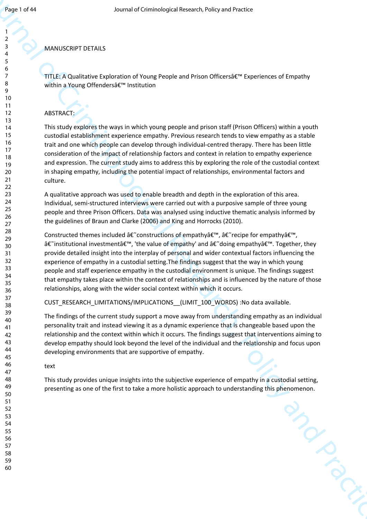#### MANUSCRIPT DETAILS

TITLE: A Qualitative Exploration of Young People and Prison Officers' Experiences of Empathy within a Young Offenders' Institution

# ABSTRACT:

This study explores the ways in which young people and prison staff (Prison Officers) within a youth custodial establishment experience empathy. Previous research tends to view empathy as a stable trait and one which people can develop through individual-centred therapy. There has been little consideration of the impact of relationship factors and context in relation to empathy experience and expression. The current study aims to address this by exploring the role of the custodial context in shaping empathy, including the potential impact of relationships, environmental factors and culture.

A qualitative approach was used to enable breadth and depth in the exploration of this area. Individual, semi-structured interviews were carried out with a purposive sample of three young people and three Prison Officers. Data was analysed using inductive thematic analysis informed by the guidelines of Braun and Clarke (2006) and King and Horrocks (2010).

Journal of Criminological Research Prior and Prior and Prior and Prior and Prior and Prior and Prior and Prior and Prior and Prior and Prior and Prior and Prior and Prior and Prior and Prior and Prior and Prior and Prior a Constructed themes included  $\hat{\mathbf{a}} \in \tilde{\mathbf{c}}$  constructions of empathy $\hat{\mathbf{a}} \in \tilde{\mathbf{c}}$  recipe for empathy $\hat{\mathbf{a}} \in \mathbb{N}$ , â€~institutional investment', 'the value of empathy' and â€~doing empathy'. Together, they provide detailed insight into the interplay of personal and wider contextual factors influencing the experience of empathy in a custodial setting.The findings suggest that the way in which young people and staff experience empathy in the custodial environment is unique. The findings suggest that empathy takes place within the context of relationships and is influenced by the nature of those relationships, along with the wider social context within which it occurs.

CUST\_RESEARCH\_LIMITATIONS/IMPLICATIONS\_\_(LIMIT\_100\_WORDS) :No data available.

The findings of the current study support a move away from understanding empathy as an individual personality trait and instead viewing it as a dynamic experience that is changeable based upon the relationship and the context within which it occurs. The findings suggest that interventions aiming to develop empathy should look beyond the level of the individual and the relationship and focus upon developing environments that are supportive of empathy.

text

This study provides unique insights into the subjective experience of empathy in a custodial setting, presenting as one of the first to take a more holistic approach to understanding this phenomenon.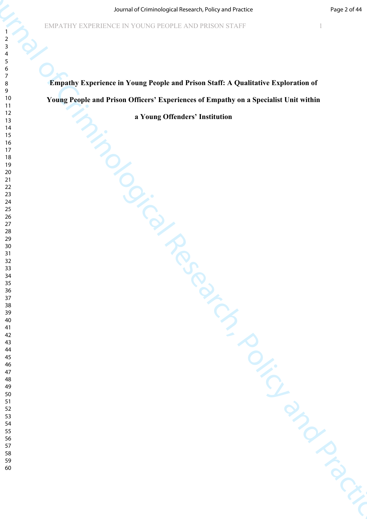Started Criminological Research (Microsoftenia)<br>
Formulaty Experience in Young People and Prison Staff: A Qualitative Exploration of<br>
Young People and Prison Officer's Experience of Empulsy on a Specialist Unit within<br>
The **Empathy Experience in Young People and Prison Staff: A Qualitative Exploration of Young People and Prison Officers' Experiences of Empathy on a Specialist Unit within** 

**a Young Offenders' Institution**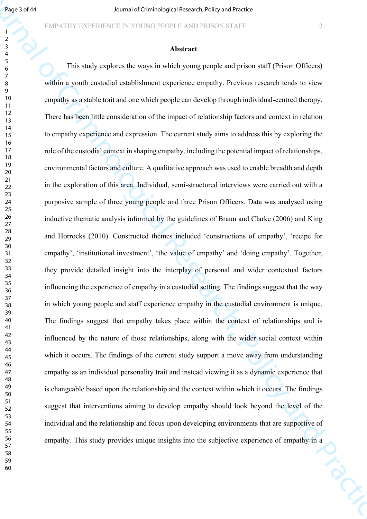#### **Abstract**

**Figure 1874**<br>
For the Criminological Research of Criminological Research of Criminal Research<br>
24 This emaily explores the ways in America.<br>
This emaily explores the ways in which young peeds and privon small (Privon Off This study explores the ways in which young people and prison staff (Prison Officers) within a youth custodial establishment experience empathy. Previous research tends to view empathy as a stable trait and one which people can develop through individual-centred therapy. There has been little consideration of the impact of relationship factors and context in relation to empathy experience and expression. The current study aims to address this by exploring the role of the custodial context in shaping empathy, including the potential impact of relationships, environmental factors and culture. A qualitative approach was used to enable breadth and depth in the exploration of this area. Individual, semi-structured interviews were carried out with a purposive sample of three young people and three Prison Officers. Data was analysed using inductive thematic analysis informed by the guidelines of Braun and Clarke (2006) and King and Horrocks (2010). Constructed themes included 'constructions of empathy', 'recipe for empathy', 'institutional investment', 'the value of empathy' and 'doing empathy'. Together, they provide detailed insight into the interplay of personal and wider contextual factors influencing the experience of empathy in a custodial setting. The findings suggest that the way in which young people and staff experience empathy in the custodial environment is unique. The findings suggest that empathy takes place within the context of relationships and is influenced by the nature of those relationships, along with the wider social context within which it occurs. The findings of the current study support a move away from understanding empathy as an individual personality trait and instead viewing it as a dynamic experience that is changeable based upon the relationship and the context within which it occurs. The findings suggest that interventions aiming to develop empathy should look beyond the level of the individual and the relationship and focus upon developing environments that are supportive of empathy. This study provides unique insights into the subjective experience of empathy in a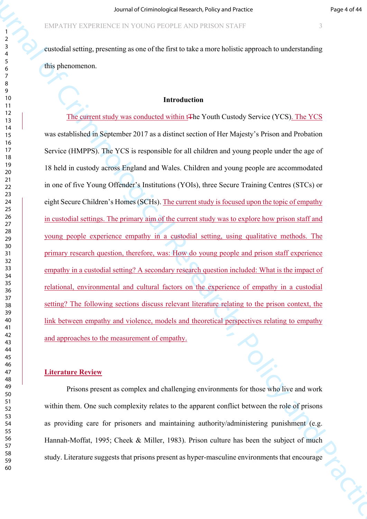custodial setting, presenting as one of the first to take a more holistic approach to understanding this phenomenon.

# **Introduction**

Source of Criminological Research of Criminal of Criminal of Criminal of Criminal or the Criminal or the Criminal or the Criminal or the Criminal or the Criminal or the Criminal or the Criminal or the Criminal or the Crim The current study was conducted within tThe Youth Custody Service (YCS). The YCS was established in September 2017 as a distinct section of Her Majesty's Prison and Probation Service (HMPPS). The YCS is responsible for all children and young people under the age of 18 held in custody across England and Wales. Children and young people are accommodated in one of five Young Offender's Institutions (YOIs), three Secure Training Centres (STCs) or eight Secure Children's Homes (SCHs). The current study is focused upon the topic of empathy in custodial settings. The primary aim of the current study was to explore how prison staff and young people experience empathy in a custodial setting, using qualitative methods. The primary research question, therefore, was: How do young people and prison staff experience empathy in a custodial setting? A secondary research question included: What is the impact of relational, environmental and cultural factors on the experience of empathy in a custodial setting? The following sections discuss relevant literature relating to the prison context, the link between empathy and violence, models and theoretical perspectives relating to empathy and approaches to the measurement of empathy.

#### **Literature Review**

Prisons present as complex and challenging environments for those who live and work within them. One such complexity relates to the apparent conflict between the role of prisons as providing care for prisoners and maintaining authority/administering punishment (e.g. Hannah-Moffat, 1995; Cheek & Miller, 1983). Prison culture has been the subject of much study. Literature suggests that prisons present as hyper-masculine environments that encourage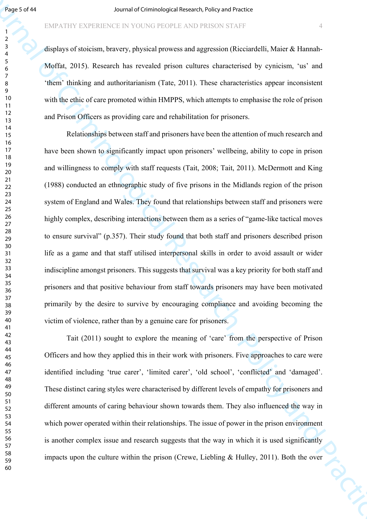displays of stoicism, bravery, physical prowess and aggression (Ricciardelli, Maier & Hannah-Moffat, 2015). Research has revealed prison cultures characterised by cynicism, 'us' and 'them' thinking and authoritarianism (Tate, 2011). These characteristics appear inconsistent with the ethic of care promoted within HMPPS, which attempts to emphasise the role of prison and Prison Officers as providing care and rehabilitation for prisoners.

**Figure 2014**<br> **Example 2014 Research Example Controller and Conventions Conventions Conventions Conventions Conventions Conventions Conventions Conventions Conventions Conventions Conventions Conventions Conventions Co** Relationships between staff and prisoners have been the attention of much research and have been shown to significantly impact upon prisoners' wellbeing, ability to cope in prison and willingness to comply with staff requests (Tait, 2008; Tait, 2011). McDermott and King (1988) conducted an ethnographic study of five prisons in the Midlands region of the prison system of England and Wales. They found that relationships between staff and prisoners were highly complex, describing interactions between them as a series of "game-like tactical moves" to ensure survival" (p.357). Their study found that both staff and prisoners described prison life as a game and that staff utilised interpersonal skills in order to avoid assault or wider indiscipline amongst prisoners. This suggests that survival was a key priority for both staff and prisoners and that positive behaviour from staff towards prisoners may have been motivated primarily by the desire to survive by encouraging compliance and avoiding becoming the victim of violence, rather than by a genuine care for prisoners.

Tait (2011) sought to explore the meaning of 'care' from the perspective of Prison Officers and how they applied this in their work with prisoners. Five approaches to care were identified including 'true carer', 'limited carer', 'old school', 'conflicted' and 'damaged'. These distinct caring styles were characterised by different levels of empathy for prisoners and different amounts of caring behaviour shown towards them. They also influenced the way in which power operated within their relationships. The issue of power in the prison environment is another complex issue and research suggests that the way in which it is used significantly impacts upon the culture within the prison (Crewe, Liebling & Hulley, 2011). Both the over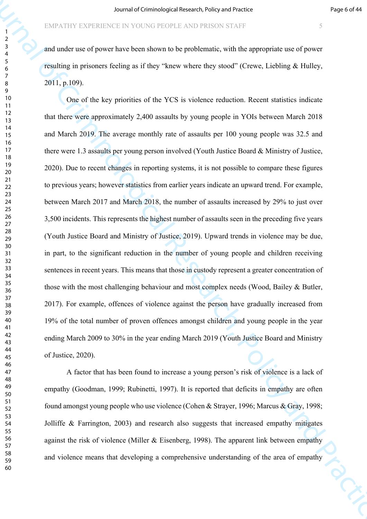and under use of power have been shown to be problematic, with the appropriate use of power resulting in prisoners feeling as if they "knew where they stood" (Crewe, Liebling & Hulley, 2011, p.109).

Fourthermore the control of the control of Criminology<br>
Fourthermore from the Criminal Criminal Criminal Criminal Criminal Criminal Criminal Criminal Criminal Criminal Criminal Criminal Criminal Criminal Criminal Criminal One of the key priorities of the YCS is violence reduction. Recent statistics indicate that there were approximately 2,400 assaults by young people in YOIs between March 2018 and March 2019. The average monthly rate of assaults per 100 young people was 32.5 and there were 1.3 assaults per young person involved (Youth Justice Board & Ministry of Justice, 2020). Due to recent changes in reporting systems, it is not possible to compare these figures to previous years; however statistics from earlier years indicate an upward trend. For example, between March 2017 and March 2018, the number of assaults increased by 29% to just over 3,500 incidents. This represents the highest number of assaults seen in the preceding five years (Youth Justice Board and Ministry of Justice, 2019). Upward trends in violence may be due, in part, to the significant reduction in the number of young people and children receiving sentences in recent years. This means that those in custody represent a greater concentration of those with the most challenging behaviour and most complex needs (Wood, Bailey & Butler, 2017). For example, offences of violence against the person have gradually increased from 19% of the total number of proven offences amongst children and young people in the year ending March 2009 to 30% in the year ending March 2019 (Youth Justice Board and Ministry of Justice, 2020).

A factor that has been found to increase a young person's risk of violence is a lack of empathy (Goodman, 1999; Rubinetti, 1997). It is reported that deficits in empathy are often found amongst young people who use violence (Cohen & Strayer, 1996; Marcus & Gray, 1998; Jolliffe & Farrington, 2003) and research also suggests that increased empathy mitigates against the risk of violence (Miller & Eisenberg, 1998). The apparent link between empathy and violence means that developing a comprehensive understanding of the area of empathy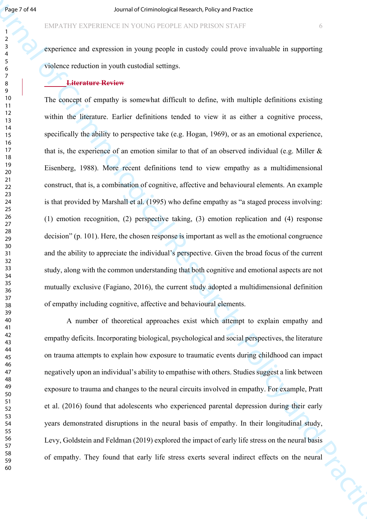experience and expression in young people in custody could prove invaluable in supporting violence reduction in youth custodial settings.

#### **Literature Review**

**Figure 1744**<br>
FIRAL INTERTATIONS INTO the COLOR PROPER CONSULTERING<br>
FIRAL INTERTATION INTERTATION INTERTATION INTO the CRIMINAL INTERTATION INTERTATION INTERTATION INTERTATION INTO A SUPERFECT AND THE CONSULT CONSULTATI The concept of empathy is somewhat difficult to define, with multiple definitions existing within the literature. Earlier definitions tended to view it as either a cognitive process, specifically the ability to perspective take (e.g. Hogan, 1969), or as an emotional experience, that is, the experience of an emotion similar to that of an observed individual (e.g. Miller  $\&$ Eisenberg, 1988). More recent definitions tend to view empathy as a multidimensional construct, that is, a combination of cognitive, affective and behavioural elements. An example is that provided by Marshall et al. (1995) who define empathy as "a staged process involving: (1) emotion recognition, (2) perspective taking, (3) emotion replication and (4) response decision" (p. 101). Here, the chosen response is important as well as the emotional congruence and the ability to appreciate the individual's perspective. Given the broad focus of the current study, along with the common understanding that both cognitive and emotional aspects are not mutually exclusive (Fagiano, 2016), the current study adopted a multidimensional definition of empathy including cognitive, affective and behavioural elements.

A number of theoretical approaches exist which attempt to explain empathy and empathy deficits. Incorporating biological, psychological and social perspectives, the literature on trauma attempts to explain how exposure to traumatic events during childhood can impact negatively upon an individual's ability to empathise with others. Studies suggest a link between exposure to trauma and changes to the neural circuits involved in empathy. For example, Pratt et al. (2016) found that adolescents who experienced parental depression during their early years demonstrated disruptions in the neural basis of empathy. In their longitudinal study, Levy, Goldstein and Feldman (2019) explored the impact of early life stress on the neural basis of empathy. They found that early life stress exerts several indirect effects on the neural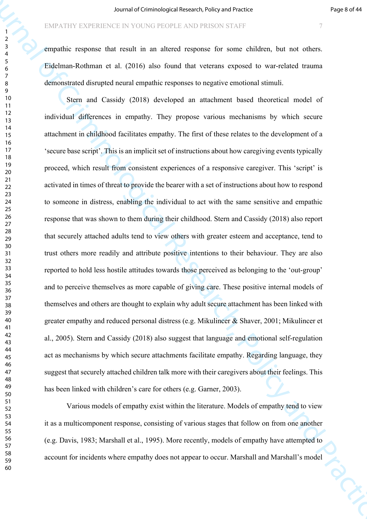empathic response that result in an altered response for some children, but not others. Eidelman-Rothman et al. (2016) also found that veterans exposed to war-related trauma demonstrated disrupted neural empathic responses to negative emotional stimuli.

Source of Criminological Research with provides the matrix in the control of Criminal Criminal Criminal Criminal Criminal Criminal Criminal Criminal Criminal Criminal Criminal Criminal Criminal Criminal Criminal Criminal Stern and Cassidy (2018) developed an attachment based theoretical model of individual differences in empathy. They propose various mechanisms by which secure attachment in childhood facilitates empathy. The first of these relates to the development of a 'secure base script'. This is an implicit set of instructions about how caregiving events typically proceed, which result from consistent experiences of a responsive caregiver. This 'script' is activated in times of threat to provide the bearer with a set of instructions about how to respond to someone in distress, enabling the individual to act with the same sensitive and empathic response that was shown to them during their childhood. Stern and Cassidy (2018) also report that securely attached adults tend to view others with greater esteem and acceptance, tend to trust others more readily and attribute positive intentions to their behaviour. They are also reported to hold less hostile attitudes towards those perceived as belonging to the 'out-group' and to perceive themselves as more capable of giving care. These positive internal models of themselves and others are thought to explain why adult secure attachment has been linked with greater empathy and reduced personal distress (e.g. Mikulincer & Shaver, 2001; Mikulincer et al., 2005). Stern and Cassidy (2018) also suggest that language and emotional self-regulation act as mechanisms by which secure attachments facilitate empathy. Regarding language, they suggest that securely attached children talk more with their caregivers about their feelings. This has been linked with children's care for others (e.g. Garner, 2003).

Various models of empathy exist within the literature. Models of empathy tend to view it as a multicomponent response, consisting of various stages that follow on from one another (e.g. Davis, 1983; Marshall et al., 1995). More recently, models of empathy have attempted to account for incidents where empathy does not appear to occur. Marshall and Marshall's model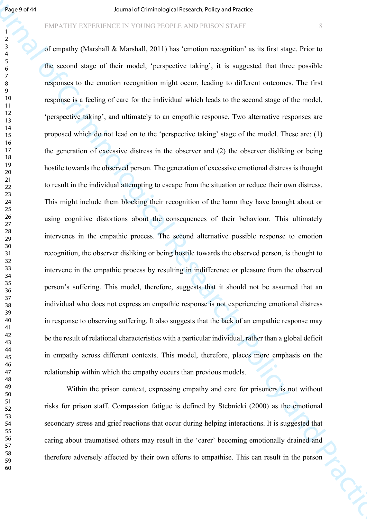#### EMPATHY EXPERIENCE IN YOUNG PEOPLE AND PRISON STAFF 8

**Experient Source of Criminological Research Professor Control Research Professor Control Research Criminal Schemes (Separation 2013) and Criminal Schemes (Separation 2014) and Criminal Schemes (Separation 2014) and Pract** of empathy (Marshall & Marshall, 2011) has 'emotion recognition' as its first stage. Prior to the second stage of their model, 'perspective taking', it is suggested that three possible responses to the emotion recognition might occur, leading to different outcomes. The first response is a feeling of care for the individual which leads to the second stage of the model, 'perspective taking', and ultimately to an empathic response. Two alternative responses are proposed which do not lead on to the 'perspective taking' stage of the model. These are: (1) the generation of excessive distress in the observer and (2) the observer disliking or being hostile towards the observed person. The generation of excessive emotional distress is thought to result in the individual attempting to escape from the situation or reduce their own distress. This might include them blocking their recognition of the harm they have brought about or using cognitive distortions about the consequences of their behaviour. This ultimately intervenes in the empathic process. The second alternative possible response to emotion recognition, the observer disliking or being hostile towards the observed person, is thought to intervene in the empathic process by resulting in indifference or pleasure from the observed person's suffering. This model, therefore, suggests that it should not be assumed that an individual who does not express an empathic response is not experiencing emotional distress in response to observing suffering. It also suggests that the lack of an empathic response may be the result of relational characteristics with a particular individual, rather than a global deficit in empathy across different contexts. This model, therefore, places more emphasis on the relationship within which the empathy occurs than previous models.

Within the prison context, expressing empathy and care for prisoners is not without risks for prison staff. Compassion fatigue is defined by Stebnicki (2000) as the emotional secondary stress and grief reactions that occur during helping interactions. It is suggested that caring about traumatised others may result in the 'carer' becoming emotionally drained and therefore adversely affected by their own efforts to empathise. This can result in the person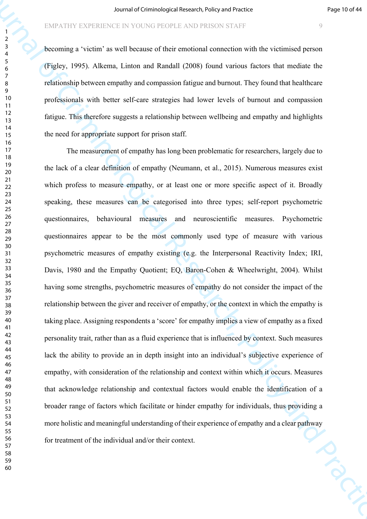becoming a 'victim' as well because of their emotional connection with the victimised person (Figley, 1995). Alkema, Linton and Randall (2008) found various factors that mediate the relationship between empathy and compassion fatigue and burnout. They found that healthcare professionals with better self-care strategies had lower levels of burnout and compassion fatigue. This therefore suggests a relationship between wellbeing and empathy and highlights the need for appropriate support for prison staff.

Journal of Criminological Research of Criminological Research of Criminal Criminal Criminal Criminal Practice<br>
The Criminal of Criminal of Criminal Criminal Criminal Criminal Criminal Criminal Criminal Practice<br>
The Crimi The measurement of empathy has long been problematic for researchers, largely due to the lack of a clear definition of empathy (Neumann, et al., 2015). Numerous measures exist which profess to measure empathy, or at least one or more specific aspect of it. Broadly speaking, these measures can be categorised into three types; self-report psychometric questionnaires, behavioural measures and neuroscientific measures. Psychometric questionnaires appear to be the most commonly used type of measure with various psychometric measures of empathy existing (e.g. the Interpersonal Reactivity Index; IRI, Davis, 1980 and the Empathy Quotient; EQ, Baron-Cohen & Wheelwright, 2004). Whilst having some strengths, psychometric measures of empathy do not consider the impact of the relationship between the giver and receiver of empathy, or the context in which the empathy is taking place. Assigning respondents a 'score' for empathy implies a view of empathy as a fixed personality trait, rather than as a fluid experience that is influenced by context. Such measures lack the ability to provide an in depth insight into an individual's subjective experience of empathy, with consideration of the relationship and context within which it occurs. Measures that acknowledge relationship and contextual factors would enable the identification of a broader range of factors which facilitate or hinder empathy for individuals, thus providing a more holistic and meaningful understanding of their experience of empathy and a clear pathway<br>for treatment of the individual and/or their context. for treatment of the individual and/or their context.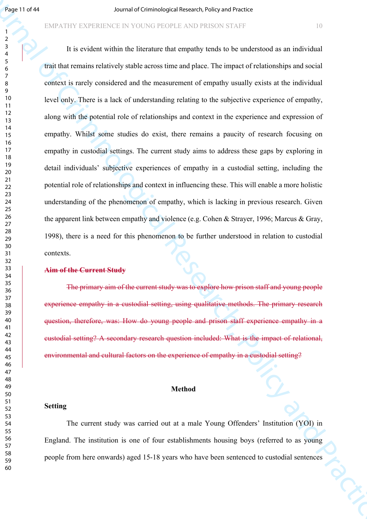#### EMPATHY EXPERIENCE IN YOUNG PEOPLE AND PRISON STAFF 10

**Figure 1998**<br>
Figure 1998 1999 Marchinological Research of Equipments of Criminal Research of Criminal Research<br>
2. The criminal orientation for the Hermann of Research of Criminal Research of Criminal Research<br>
2. The C It is evident within the literature that empathy tends to be understood as an individual trait that remains relatively stable across time and place. The impact of relationships and social context is rarely considered and the measurement of empathy usually exists at the individual level only. There is a lack of understanding relating to the subjective experience of empathy, along with the potential role of relationships and context in the experience and expression of empathy. Whilst some studies do exist, there remains a paucity of research focusing on empathy in custodial settings. The current study aims to address these gaps by exploring in detail individuals' subjective experiences of empathy in a custodial setting, including the potential role of relationships and context in influencing these. This will enable a more holistic understanding of the phenomenon of empathy, which is lacking in previous research. Given the apparent link between empathy and violence (e.g. Cohen & Strayer, 1996; Marcus & Gray, 1998), there is a need for this phenomenon to be further understood in relation to custodial contexts.

#### **Aim of the Current Study**

The primary aim of the current study was to explore how prison staff and young people experience empathy in a custodial setting, using qualitative methods. The primary research question, therefore, was: How do young people and prison staff experience empathy in a custodial setting? A secondary research question included: What is the impact of relational, environmental and cultural factors on the experience of empathy in a custodial setting?

#### **Method**

#### **Setting**

The current study was carried out at a male Young Offenders' Institution (YOI) in England. The institution is one of four establishments housing boys (referred to as young people from here onwards) aged 15-18 years who have been sentenced to custodial sentences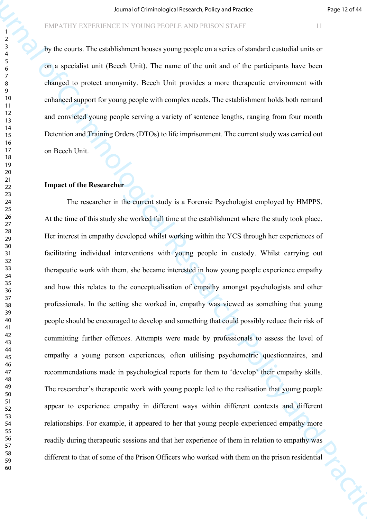by the courts. The establishment houses young people on a series of standard custodial units or on a specialist unit (Beech Unit). The name of the unit and of the participants have been changed to protect anonymity. Beech Unit provides a more therapeutic environment with enhanced support for young people with complex needs. The establishment holds both remand and convicted young people serving a variety of sentence lengths, ranging from four month Detention and Training Orders (DTOs) to life imprisonment. The current study was carried out on Beech Unit.

# **Impact of the Researcher**

Board of Criminological Research of Experimental Research of the Criminal Criminal Criminal Criminal Criminal Criminal Criminal Criminal Criminal Criminal Criminal Criminal Criminal Criminal Criminal Criminal Criminal Cr The researcher in the current study is a Forensic Psychologist employed by HMPPS. At the time of this study she worked full time at the establishment where the study took place. Her interest in empathy developed whilst working within the YCS through her experiences of facilitating individual interventions with young people in custody. Whilst carrying out therapeutic work with them, she became interested in how young people experience empathy and how this relates to the conceptualisation of empathy amongst psychologists and other professionals. In the setting she worked in, empathy was viewed as something that young people should be encouraged to develop and something that could possibly reduce their risk of committing further offences. Attempts were made by professionals to assess the level of empathy a young person experiences, often utilising psychometric questionnaires, and recommendations made in psychological reports for them to 'develop' their empathy skills. The researcher's therapeutic work with young people led to the realisation that young people appear to experience empathy in different ways within different contexts and different relationships. For example, it appeared to her that young people experienced empathy more readily during therapeutic sessions and that her experience of them in relation to empathy was different to that of some of the Prison Officers who worked with them on the prison residential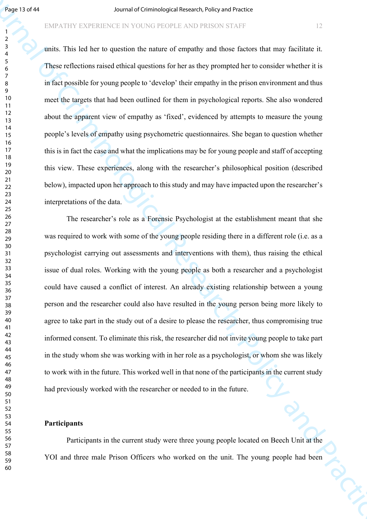units. This led her to question the nature of empathy and those factors that may facilitate it. These reflections raised ethical questions for her as they prompted her to consider whether it is in fact possible for young people to 'develop' their empathy in the prison environment and thus meet the targets that had been outlined for them in psychological reports. She also wondered about the apparent view of empathy as 'fixed', evidenced by attempts to measure the young people's levels of empathy using psychometric questionnaires. She began to question whether this is in fact the case and what the implications may be for young people and staff of accepting this view. These experiences, along with the researcher's philosophical position (described below), impacted upon her approach to this study and may have impacted upon the researcher's interpretations of the data.

**Figs. 117441**<br>
FIRAL INTERFERIENCE IN COURS PROPER ANDELES TRIP CONTROL TO THE CRIMINAL INTERFERIENCE CONTROL TO THE CRIMINAL INTERFERIENCE CONTROL TO THE CRIMINAL INTERFERIENCE CONTROL TO THE CRIMINAL INTERFERIENCE CONT The researcher's role as a Forensic Psychologist at the establishment meant that she was required to work with some of the young people residing there in a different role (i.e. as a psychologist carrying out assessments and interventions with them), thus raising the ethical issue of dual roles. Working with the young people as both a researcher and a psychologist could have caused a conflict of interest. An already existing relationship between a young person and the researcher could also have resulted in the young person being more likely to agree to take part in the study out of a desire to please the researcher, thus compromising true informed consent. To eliminate this risk, the researcher did not invite young people to take part in the study whom she was working with in her role as a psychologist, or whom she was likely to work with in the future. This worked well in that none of the participants in the current study had previously worked with the researcher or needed to in the future.

#### **Participants**

Participants in the current study were three young people located on Beech Unit at the YOI and three male Prison Officers who worked on the unit. The young people had been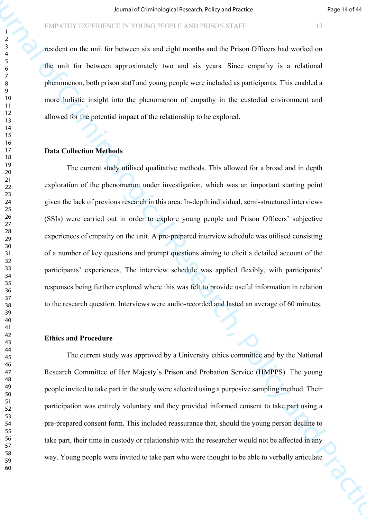resident on the unit for between six and eight months and the Prison Officers had worked on the unit for between approximately two and six years. Since empathy is a relational phenomenon, both prison staff and young people were included as participants. This enabled a more holistic insight into the phenomenon of empathy in the custodial environment and allowed for the potential impact of the relationship to be explored.

#### **Data Collection Methods**

Fourth of Criminological Research violety of Experimental Properties ( $\frac{1}{2}$ <br>
Fourth of The Lattice Hermitian Research is the Criminal Properties ( $\frac{1}{2}$ <br>
The Lattice Research of Criminal Properties ( $\frac{1}{2}$ <br>
The The current study utilised qualitative methods. This allowed for a broad and in depth exploration of the phenomenon under investigation, which was an important starting point given the lack of previous research in this area. In-depth individual, semi-structured interviews (SSIs) were carried out in order to explore young people and Prison Officers' subjective experiences of empathy on the unit. A pre-prepared interview schedule was utilised consisting of a number of key questions and prompt questions aiming to elicit a detailed account of the participants' experiences. The interview schedule was applied flexibly, with participants' responses being further explored where this was felt to provide useful information in relation to the research question. Interviews were audio-recorded and lasted an average of 60 minutes.

#### **Ethics and Procedure**

The current study was approved by a University ethics committee and by the National Research Committee of Her Majesty's Prison and Probation Service (HMPPS). The young people invited to take part in the study were selected using a purposive sampling method. Their participation was entirely voluntary and they provided informed consent to take part using a pre-prepared consent form. This included reassurance that, should the young person decline to take part, their time in custody or relationship with the researcher would not be affected in any way. Young people were invited to take part who were thought to be able to verbally articulate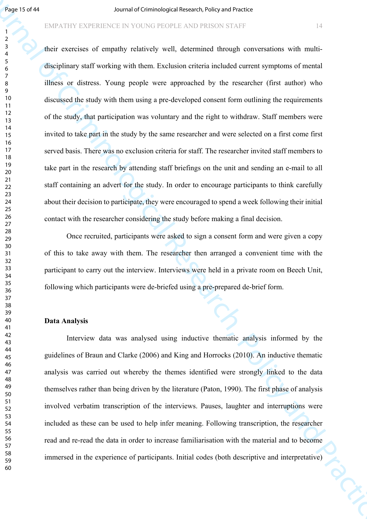#### EMPATHY EXPERIENCE IN YOUNG PEOPLE AND PRISON STAFF 14

**Figs. 10.741**<br>
FOR THE CHENE TRIENCE IS COUNTED TRIENCE AND TRIENCE CONTINUES INTO THE CONTINUES INTO THE CONTINUES INTO THE CONTINUES INTO THE CONTINUES INTO THE CONTINUES INTO THE CONTINUES INTO THE CONTINUES INTO THE their exercises of empathy relatively well, determined through conversations with multidisciplinary staff working with them. Exclusion criteria included current symptoms of mental illness or distress. Young people were approached by the researcher (first author) who discussed the study with them using a pre-developed consent form outlining the requirements of the study, that participation was voluntary and the right to withdraw. Staff members were invited to take part in the study by the same researcher and were selected on a first come first served basis. There was no exclusion criteria for staff. The researcher invited staff members to take part in the research by attending staff briefings on the unit and sending an e-mail to all staff containing an advert for the study. In order to encourage participants to think carefully about their decision to participate, they were encouraged to spend a week following their initial contact with the researcher considering the study before making a final decision.

Once recruited, participants were asked to sign a consent form and were given a copy of this to take away with them. The researcher then arranged a convenient time with the participant to carry out the interview. Interviews were held in a private room on Beech Unit, following which participants were de-briefed using a pre-prepared de-brief form.

#### **Data Analysis**

Interview data was analysed using inductive thematic analysis informed by the guidelines of Braun and Clarke (2006) and King and Horrocks (2010). An inductive thematic analysis was carried out whereby the themes identified were strongly linked to the data themselves rather than being driven by the literature (Paton, 1990). The first phase of analysis involved verbatim transcription of the interviews. Pauses, laughter and interruptions were included as these can be used to help infer meaning. Following transcription, the researcher read and re-read the data in order to increase familiarisation with the material and to become immersed in the experience of participants. Initial codes (both descriptive and interpretative)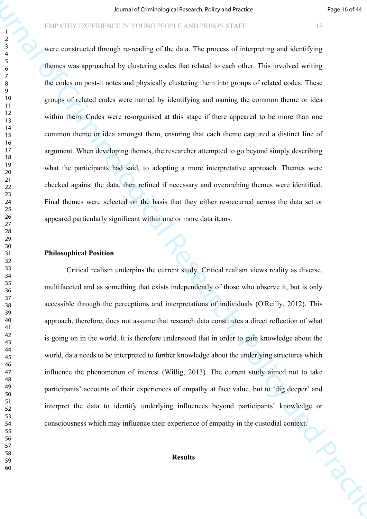Journal of Criminological Research with your state is the control of the control of the search of the control of the delta Ture present of the control of the search of the delta Ture procedure in the proposition of the de were constructed through re-reading of the data. The process of interpreting and identifying themes was approached by clustering codes that related to each other. This involved writing the codes on post-it notes and physically clustering them into groups of related codes. These groups of related codes were named by identifying and naming the common theme or idea within them. Codes were re-organised at this stage if there appeared to be more than one common theme or idea amongst them, ensuring that each theme captured a distinct line of argument. When developing themes, the researcher attempted to go beyond simply describing what the participants had said, to adopting a more interpretative approach. Themes were checked against the data, then refined if necessary and overarching themes were identified. Final themes were selected on the basis that they either re-occurred across the data set or appeared particularly significant within one or more data items.

#### **Philosophical Position**

Critical realism underpins the current study. Critical realism views reality as diverse, multifaceted and as something that exists independently of those who observe it, but is only accessible through the perceptions and interpretations of individuals (O'Reilly, 2012). This approach, therefore, does not assume that research data constitutes a direct reflection of what is going on in the world. It is therefore understood that in order to gain knowledge about the world, data needs to be interpreted to further knowledge about the underlying structures which influence the phenomenon of interest (Willig, 2013). The current study aimed not to take participants' accounts of their experiences of empathy at face value, but to 'dig deeper' and interpret the data to identify underlying influences beyond participants' knowledge or consciousness which may influence their experience of empathy in the custodial context.

#### **Results**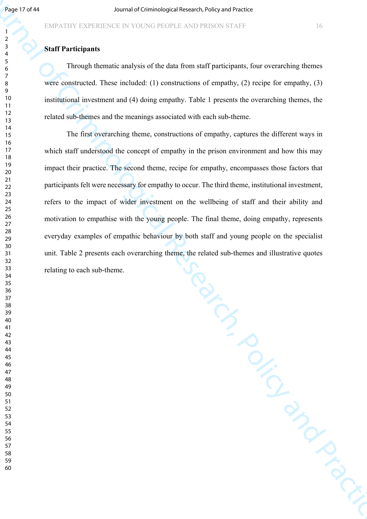### **Staff Participants**

Through thematic analysis of the data from staff participants, four overarching themes were constructed. These included: (1) constructions of empathy, (2) recipe for empathy, (3) institutional investment and (4) doing empathy. Table 1 presents the overarching themes, the related sub-themes and the meanings associated with each sub-theme.

Seg 17 8 61<br>
MANUTUN EXTERIENCE IN VOUCAU PROTELE AND PRESON STATE<br>
13.<br>
SAMUTUNGENERIES IN VOUCAU PROTELE AND PRESON STATE<br>
THEOREM IN CHEMIC CONTROL INTEREST (AD CONTROL INTEREST)<br>
We concerned These ficiliated (1) const The first overarching theme, constructions of empathy, captures the different ways in which staff understood the concept of empathy in the prison environment and how this may impact their practice. The second theme, recipe for empathy, encompasses those factors that participants felt were necessary for empathy to occur. The third theme, institutional investment, refers to the impact of wider investment on the wellbeing of staff and their ability and motivation to empathise with the young people. The final theme, doing empathy, represents everyday examples of empathic behaviour by both staff and young people on the specialist unit. Table 2 presents each overarching theme, the related sub-themes and illustrative quotes relating to each sub-theme.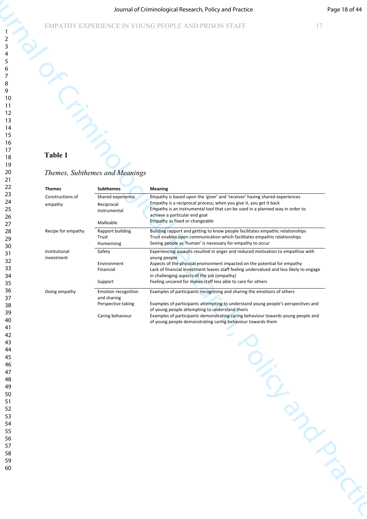#### Journal of Criminological Research, Policy and Practice Page 18 of 44

# **Table 1**

#### *Themes, Subthemes and Meanings*

|                             |                                   | Journal of Criminological Research, Policy and Practice                                                                                                                                                                           | Page 18 of 44 |
|-----------------------------|-----------------------------------|-----------------------------------------------------------------------------------------------------------------------------------------------------------------------------------------------------------------------------------|---------------|
|                             |                                   | EMPATHY EXPERIENCE IN YOUNG PEOPLE AND PRISON STAFF                                                                                                                                                                               | 17            |
|                             |                                   |                                                                                                                                                                                                                                   |               |
|                             |                                   |                                                                                                                                                                                                                                   |               |
|                             |                                   |                                                                                                                                                                                                                                   |               |
|                             |                                   |                                                                                                                                                                                                                                   |               |
|                             |                                   |                                                                                                                                                                                                                                   |               |
|                             |                                   |                                                                                                                                                                                                                                   |               |
|                             |                                   |                                                                                                                                                                                                                                   |               |
|                             |                                   |                                                                                                                                                                                                                                   |               |
| Table 1                     |                                   |                                                                                                                                                                                                                                   |               |
|                             |                                   |                                                                                                                                                                                                                                   |               |
|                             | Themes, Subthemes and Meanings    |                                                                                                                                                                                                                                   |               |
| <b>Themes</b>               | <b>Subthemes</b>                  | <b>Meaning</b>                                                                                                                                                                                                                    |               |
| Constructions of<br>empathy | Shared experience<br>Reciprocal   | Empathy is based upon the 'giver' and 'receiver' having shared experiences<br>Empathy is a reciprocal process; when you give it, you get it back<br>Empathy is an instrumental tool that can be used in a planned way in order to |               |
|                             | Instrumental<br>Malleable         | achieve a particular end goal<br>Empathy as fixed or changeable                                                                                                                                                                   |               |
| Recipe for empathy          | Rapport building<br>Trust         | Building rapport and getting to know people facilitates empathic relationships<br>Trust enables open communication which facilitates empathic relationships                                                                       |               |
|                             | Humanising                        | Seeing people as 'human' is necessary for empathy to occur                                                                                                                                                                        |               |
| Institutional<br>investment | Safety<br>Environment             | Experiencing assaults resulted in anger and reduced motivation to empathise with<br>young people<br>Aspects of the physical environment impacted on the potential for empathy                                                     |               |
|                             | Financial                         | Lack of financial investment leaves staff feeling undervalued and less likely to engage<br>in challenging aspects of the job (empathy)                                                                                            |               |
| Doing empathy               | Support<br>Emotion recognition    | Feeling uncared for makes staff less able to care for others<br>Examples of participants recognising and sharing the emotions of others                                                                                           |               |
|                             | and sharing<br>Perspective taking | Examples of participants attempting to understand young people's perspectives and                                                                                                                                                 |               |
|                             | Caring behaviour                  | of young people attempting to understand theirs<br>Examples of participants demonstrating caring behaviour towards young people and                                                                                               |               |
|                             |                                   | of young people demonstrating caring behaviour towards them                                                                                                                                                                       |               |
|                             |                                   |                                                                                                                                                                                                                                   |               |
|                             |                                   |                                                                                                                                                                                                                                   |               |
|                             |                                   |                                                                                                                                                                                                                                   |               |
|                             |                                   |                                                                                                                                                                                                                                   |               |
|                             |                                   |                                                                                                                                                                                                                                   |               |
|                             |                                   |                                                                                                                                                                                                                                   |               |
|                             |                                   |                                                                                                                                                                                                                                   |               |
|                             |                                   |                                                                                                                                                                                                                                   |               |
|                             |                                   |                                                                                                                                                                                                                                   |               |
|                             |                                   |                                                                                                                                                                                                                                   |               |
|                             |                                   |                                                                                                                                                                                                                                   |               |
|                             |                                   |                                                                                                                                                                                                                                   |               |
|                             |                                   |                                                                                                                                                                                                                                   |               |
|                             |                                   | <b>PROPRIMATELY</b>                                                                                                                                                                                                               |               |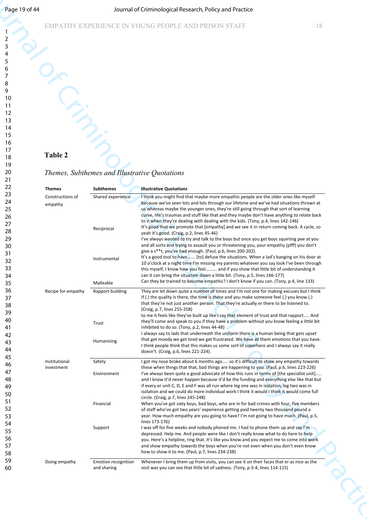# EMPATHY EXPERIENCE IN YOUNG PEOPLE AND PRISON STAFF 18

# *Themes, Subthemes and Illustrative Quotations*

| Page 19 of 44 |                                   |                                               | Journal of Criminological Research, Policy and Practice                                                                                                                                                                                                                               |  |
|---------------|-----------------------------------|-----------------------------------------------|---------------------------------------------------------------------------------------------------------------------------------------------------------------------------------------------------------------------------------------------------------------------------------------|--|
|               |                                   |                                               | EMPATHY EXPERIENCE IN YOUNG PEOPLE AND PRISON STAFF<br>18                                                                                                                                                                                                                             |  |
|               |                                   |                                               |                                                                                                                                                                                                                                                                                       |  |
|               |                                   |                                               |                                                                                                                                                                                                                                                                                       |  |
| 5<br>6        |                                   |                                               |                                                                                                                                                                                                                                                                                       |  |
| 7<br>8        |                                   |                                               |                                                                                                                                                                                                                                                                                       |  |
| 9<br>10       |                                   |                                               |                                                                                                                                                                                                                                                                                       |  |
| 11            |                                   |                                               |                                                                                                                                                                                                                                                                                       |  |
| 12<br>13      |                                   |                                               |                                                                                                                                                                                                                                                                                       |  |
| 14<br>15      |                                   |                                               |                                                                                                                                                                                                                                                                                       |  |
| 16<br>17      |                                   |                                               |                                                                                                                                                                                                                                                                                       |  |
| 18            | Table 2                           |                                               |                                                                                                                                                                                                                                                                                       |  |
| 19<br>20      |                                   | Themes, Subthemes and Illustrative Quotations |                                                                                                                                                                                                                                                                                       |  |
| 21<br>22      |                                   |                                               |                                                                                                                                                                                                                                                                                       |  |
| 23            | <b>Themes</b><br>Constructions of | <b>Subthemes</b><br>Shared experience         | <b>Illustrative Quotations</b><br>I think you might find that maybe more empathic people are the older ones like myself                                                                                                                                                               |  |
| 24<br>25      | empathy                           |                                               | because we've seen lots and lots through our lifetime and we've had situations thrown at<br>us whereas maybe the younger ones, they're still going through that sort of learning                                                                                                      |  |
| 26<br>27      |                                   |                                               | curve, life's traumas and stuff like that and they maybe don't have anything to relate back<br>to it when they're dealing with dealing with the kids. (Tony, p.4, lines 142-146)                                                                                                      |  |
| 28            |                                   | Reciprocal                                    | It's good that we promote that [empathy] and we see it in return coming back. A cycle, so<br>yeah it's good. (Craig, p.2, lines 45-46)                                                                                                                                                |  |
| 29<br>30      |                                   |                                               | I've always wanted to try and talk to the boys but once you get boys squirting pee at you<br>and all sorts and trying to assault you or threatening you, your empathy (pfff) you don't                                                                                                |  |
| 31<br>32      |                                   | Instrumental                                  | give a s**t, you've had enough. (Paul, p.6, lines 200-202).<br>It's a good tool to have [to] defuse the situations. When a lad's banging on his door at<br>10 o'clock at a night time I'm missing my parents whatever you say look I've been through                                  |  |
| 33<br>34      |                                   |                                               | this myself, I know how you feel and if you show that little bit of understanding it<br>can it can bring the situation down a little bit. (Tony, p.5, lines 166-177)                                                                                                                  |  |
| 35            |                                   | Malleable                                     | Can they be trained to become empathic? I don't know if you can. (Tony, p.4, line 133)                                                                                                                                                                                                |  |
| 36<br>37      | Recipe for empathy                | Rapport building                              | They are let down quite a number of times and I'm not one for making excuses but I think<br>if (.) the quality is there, the time is there and you make someone feel (.) you know (.)                                                                                                 |  |
| 38<br>39      |                                   |                                               | that they're not just another person. That they're actually er there to be listened to.<br>(Craig, p.7, lines 255-258)                                                                                                                                                                |  |
| 40<br>41      |                                   | Trust                                         | to me it feels like they've built up like I say that element of trust and that rapport And<br>they'll come and speak to you if they have a problem without you know feeling a little bit                                                                                              |  |
| 42            |                                   |                                               | inhibited to do so. (Tony, p.2, lines 44-48)<br>I always say to lads that underneath the uniform there is a human being that gets upset<br>that get moody we get tired we get frustrated. We have all them emotions that you have.                                                    |  |
| 43<br>44      |                                   | Humanising                                    | I think people think that this makes us some sort of superhero and I always say it really<br>doesn't. (Craig, p.6, lines 221-224).                                                                                                                                                    |  |
| 45<br>46      | Institutional                     | Safety                                        | I got my nose broke about 6 months ago so it's difficult to show any empathy towards                                                                                                                                                                                                  |  |
| 47            | investment                        | Environment                                   | these when things that that, bad things are happening to you. (Paul, p.6, lines 223-226)<br>I've always been quite a good advocate of how this runs in terms of [the specialist unit]                                                                                                 |  |
| 48<br>49      |                                   |                                               | and I know it'd never happen because it'd be the funding and everything else like that but<br>if every er unit C, D, E and F was all run where leg one was in isolation, leg two was in<br>isolation and we could do more individual work I think it would I think it would come full |  |
| 50<br>51      |                                   | Financial                                     | circle. (Craig, p.7, lines 245-248)<br>When you've got sixty boys, bad boys, who are in for bad crimes with four, five members                                                                                                                                                        |  |
| 52<br>53      |                                   |                                               | of staff who've got two years' experience getting paid twenty two thousand pound a<br>year. How much empathy are you going to have? I'm not going to have much. (Paul, p.5,                                                                                                           |  |
| 54            |                                   | Support                                       | lines 173-176)<br>I was off for five weeks and nobody phoned me. I had to phone them up and say I'm                                                                                                                                                                                   |  |
| 55<br>56      |                                   |                                               | depressed. Help me. And people were like I don't really know what to do here to help<br>you. Here's a helpline, ring that. It's like you know and you expect me to come into work                                                                                                     |  |
| 57<br>58      |                                   |                                               | and show empathy towards the boys when you're not even when you don't even know<br>how to show it to me. (Paul, p.7, lines 234-238)                                                                                                                                                   |  |
| 59            | Doing empathy                     | <b>Emotion recognition</b><br>and sharing     | Whenever I bring them up from visits, you can see it on their faces that er as nice as the<br>visit was you can see that little bit of sadness. (Tony, p.3-4, lines 114-115)                                                                                                          |  |
| 60            |                                   |                                               |                                                                                                                                                                                                                                                                                       |  |
|               |                                   |                                               |                                                                                                                                                                                                                                                                                       |  |
|               |                                   |                                               |                                                                                                                                                                                                                                                                                       |  |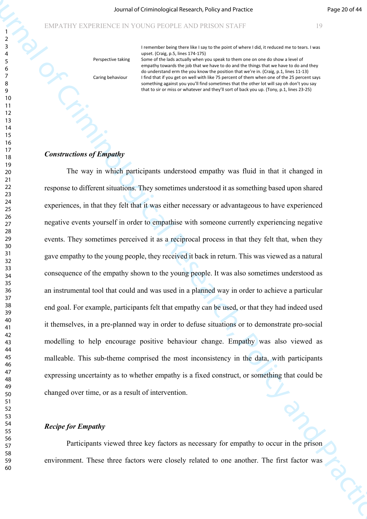I remember being there like I say to the point of where I did, it reduced me to tears. I was upset. (Craig, p.5, lines 174-175)

Perspective taking Caring behaviour

Some of the lads actually when you speak to them one on one do show a level of empathy towards the job that we have to do and the things that we have to do and they do understand erm the you know the position that we're in. (Craig, p.1, lines 11-13) I find that if you get on well with like 75 percent of them when one of the 25 percent says something against you you'll find sometimes that the other lot will say oh don't you say that to sir or miss or whatever and they'll sort of back you up. (Tony, p.1, lines 23-25)

#### *Constructions of Empathy*

Journal of Criminological Research (Angle parameteristic and Practice Criminological Research)<br>
Statistics in the Criminal Criminal of Criminal Criminal Criminal Criminal Criminal Criminal Criminal Criminal Criminal Crimi The way in which participants understood empathy was fluid in that it changed in response to different situations. They sometimes understood it as something based upon shared experiences, in that they felt that it was either necessary or advantageous to have experienced negative events yourself in order to empathise with someone currently experiencing negative events. They sometimes perceived it as a reciprocal process in that they felt that, when they gave empathy to the young people, they received it back in return. This was viewed as a natural consequence of the empathy shown to the young people. It was also sometimes understood as an instrumental tool that could and was used in a planned way in order to achieve a particular end goal. For example, participants felt that empathy can be used, or that they had indeed used it themselves, in a pre-planned way in order to defuse situations or to demonstrate pro-social modelling to help encourage positive behaviour change. Empathy was also viewed as malleable. This sub-theme comprised the most inconsistency in the data, with participants expressing uncertainty as to whether empathy is a fixed construct, or something that could be changed over time, or as a result of intervention.

#### *Recipe for Empathy*

Participants viewed three key factors as necessary for empathy to occur in the prison environment. These three factors were closely related to one another. The first factor was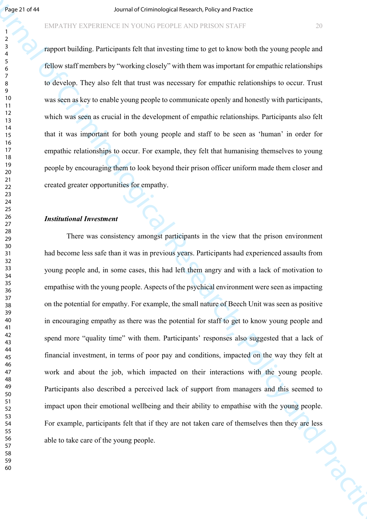#### EMPATHY EXPERIENCE IN YOUNG PEOPLE AND PRISON STAFF 20

rapport building. Participants felt that investing time to get to know both the young people and fellow staff members by "working closely" with them was important for empathic relationships to develop. They also felt that trust was necessary for empathic relationships to occur. Trust was seen as key to enable young people to communicate openly and honestly with participants, which was seen as crucial in the development of empathic relationships. Participants also felt that it was important for both young people and staff to be seen as 'human' in order for empathic relationships to occur. For example, they felt that humanising themselves to young people by encouraging them to look beyond their prison officer uniform made them closer and created greater opportunities for empathy.

#### *Institutional Investment*

**Figure 2.944**<br> **Source of Criminal of Criminal or the Source Constrainers** which provides the point properties of Criminal or<br> **Source of Criminal or Practices** Research, Policy and Practice Best Research, Policy and Pra There was consistency amongst participants in the view that the prison environment had become less safe than it was in previous years. Participants had experienced assaults from young people and, in some cases, this had left them angry and with a lack of motivation to empathise with the young people. Aspects of the psychical environment were seen as impacting on the potential for empathy. For example, the small nature of Beech Unit was seen as positive in encouraging empathy as there was the potential for staff to get to know young people and spend more "quality time" with them. Participants' responses also suggested that a lack of financial investment, in terms of poor pay and conditions, impacted on the way they felt at work and about the job, which impacted on their interactions with the young people. Participants also described a perceived lack of support from managers and this seemed to impact upon their emotional wellbeing and their ability to empathise with the young people. For example, participants felt that if they are not taken care of themselves then they are less<br>able to take care of the young people. able to take care of the young people.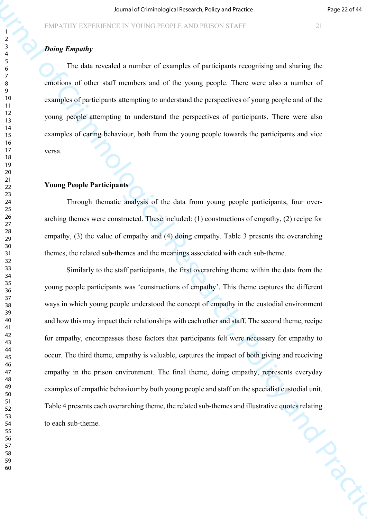# *Doing Empathy*

The data revealed a number of examples of participants recognising and sharing the emotions of other staff members and of the young people. There were also a number of examples of participants attempting to understand the perspectives of young people and of the young people attempting to understand the perspectives of participants. There were also examples of caring behaviour, both from the young people towards the participants and vice versa.

# **Young People Participants**

Through thematic analysis of the data from young people participants, four overarching themes were constructed. These included: (1) constructions of empathy, (2) recipe for empathy, (3) the value of empathy and (4) doing empathy. Table 3 presents the overarching themes, the related sub-themes and the meanings associated with each sub-theme.

Source of Criminological Research with provides a stationary of Criminal Research of Criminal Research of the Criminal Schedule Research of The function of The Barriston and Criminal Schedule Theoretical Schedule Research Similarly to the staff participants, the first overarching theme within the data from the young people participants was 'constructions of empathy'. This theme captures the different ways in which young people understood the concept of empathy in the custodial environment and how this may impact their relationships with each other and staff. The second theme, recipe for empathy, encompasses those factors that participants felt were necessary for empathy to occur. The third theme, empathy is valuable, captures the impact of both giving and receiving empathy in the prison environment. The final theme, doing empathy, represents everyday examples of empathic behaviour by both young people and staff on the specialist custodial unit. Table 4 presents each overarching theme, the related sub-themes and illustrative quotes relating<br>to each sub-theme. to each sub-theme.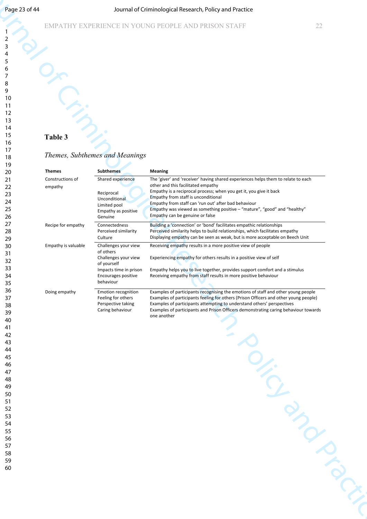# EMPATHY EXPERIENCE IN YOUNG PEOPLE AND PRISON STAFF 22

# **Table 3**

#### *Themes, Subthemes and Meanings*

| Page 23 of 44                                                                                                                                      |                                              |                                                                                                                                        | Journal of Criminological Research, Policy and Practice                                                                                                                                                                                                                                                                                                                                                                        |                  |
|----------------------------------------------------------------------------------------------------------------------------------------------------|----------------------------------------------|----------------------------------------------------------------------------------------------------------------------------------------|--------------------------------------------------------------------------------------------------------------------------------------------------------------------------------------------------------------------------------------------------------------------------------------------------------------------------------------------------------------------------------------------------------------------------------|------------------|
| 2<br>3<br>5                                                                                                                                        |                                              |                                                                                                                                        | EMPATHY EXPERIENCE IN YOUNG PEOPLE AND PRISON STAFF                                                                                                                                                                                                                                                                                                                                                                            | 22               |
| 6<br>7<br>8<br>9<br>10<br>11<br>12<br>13<br>14                                                                                                     |                                              |                                                                                                                                        |                                                                                                                                                                                                                                                                                                                                                                                                                                |                  |
| 15<br>16<br>17                                                                                                                                     | Table 3                                      |                                                                                                                                        |                                                                                                                                                                                                                                                                                                                                                                                                                                |                  |
| 18<br>19                                                                                                                                           |                                              | Themes, Subthemes and Meanings                                                                                                         |                                                                                                                                                                                                                                                                                                                                                                                                                                |                  |
| 20<br>21<br>22<br>23<br>24<br>25<br>26                                                                                                             | <b>Themes</b><br>Constructions of<br>empathy | <b>Subthemes</b><br>Shared experience<br>Reciprocal<br>Unconditional<br>Limited pool<br>Empathy as positive<br>Genuine                 | <b>Meaning</b><br>The 'giver' and 'receiver' having shared experiences helps them to relate to each<br>other and this facilitated empathy<br>Empathy is a reciprocal process; when you get it, you give it back<br>Empathy from staff is unconditional<br>Empathy from staff can 'run out' after bad behaviour<br>Empathy was viewed as something positive - "mature", "good" and "healthy"<br>Empathy can be genuine or false |                  |
| 27<br>28<br>29                                                                                                                                     | Recipe for empathy                           | Connectedness<br>Perceived similarity<br>Culture                                                                                       | Building a 'connection' or 'bond' facilitates empathic relationships<br>Perceived similarity helps to build relationships, which facilitates empathy<br>Displaying empathy can be seen as weak, but is more acceptable on Beech Unit                                                                                                                                                                                           |                  |
| 30<br>31<br>32<br>33<br>34<br>35                                                                                                                   | Empathy is valuable                          | Challenges your view<br>of others<br>Challenges your view<br>of yourself<br>Impacts time in prison<br>Encourages positive<br>behaviour | Receiving empathy results in a more positive view of people<br>Experiencing empathy for others results in a positive view of self<br>Empathy helps you to live together, provides support comfort and a stimulus<br>Receiving empathy from staff results in more positive behaviour                                                                                                                                            |                  |
| 36<br>37<br>38<br>39<br>40<br>41<br>42<br>43<br>44<br>45<br>46<br>47<br>48<br>49<br>50<br>51<br>52<br>53<br>54<br>55<br>56<br>57<br>58<br>59<br>60 | Doing empathy                                | Emotion recognition<br>Feeling for others<br>Perspective taking<br>Caring behaviour                                                    | Examples of participants recognising the emotions of staff and other young people<br>Examples of participants feeling for others (Prison Officers and other young people)<br>Examples of participants attempting to understand others' perspectives<br>Examples of participants and Prison Officers demonstrating caring behaviour towards<br>one another                                                                      | <b>PIDROKING</b> |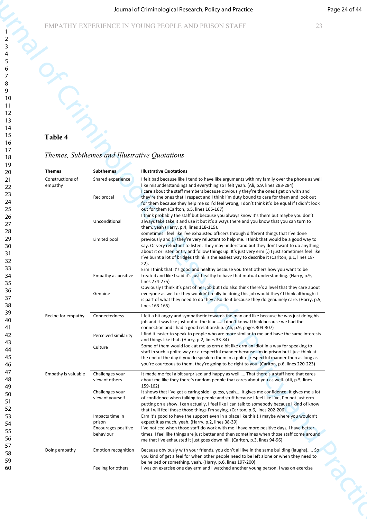# **Table 4**

# *Themes, Subthemes and Illustrative Quotations*

|                             |                                                  | Journal of Criminological Research, Policy and Practice                                                                                                                                                                                                                                         | Page 24 of 44 |
|-----------------------------|--------------------------------------------------|-------------------------------------------------------------------------------------------------------------------------------------------------------------------------------------------------------------------------------------------------------------------------------------------------|---------------|
|                             |                                                  | EMPATHY EXPERIENCE IN YOUNG PEOPLE AND PRISON STAFF<br>23                                                                                                                                                                                                                                       |               |
|                             |                                                  |                                                                                                                                                                                                                                                                                                 |               |
|                             |                                                  |                                                                                                                                                                                                                                                                                                 |               |
|                             |                                                  |                                                                                                                                                                                                                                                                                                 |               |
|                             |                                                  |                                                                                                                                                                                                                                                                                                 |               |
|                             |                                                  |                                                                                                                                                                                                                                                                                                 |               |
|                             |                                                  |                                                                                                                                                                                                                                                                                                 |               |
|                             |                                                  |                                                                                                                                                                                                                                                                                                 |               |
| Table 4                     |                                                  |                                                                                                                                                                                                                                                                                                 |               |
|                             |                                                  | Themes, Subthemes and Illustrative Quotations                                                                                                                                                                                                                                                   |               |
| <b>Themes</b>               | <b>Subthemes</b>                                 | <b>Illustrative Quotations</b>                                                                                                                                                                                                                                                                  |               |
| Constructions of<br>empathy | Shared experience                                | I felt bad because like I tend to have like arguments with my family over the phone as well<br>like misunderstandings and everything so I felt yeah. (Ali, p.9, lines 283-284)                                                                                                                  |               |
|                             | Reciprocal                                       | I care about the staff members because obviously they're the ones I get on with and<br>they're the ones that I respect and I think I'm duty bound to care for them and look out                                                                                                                 |               |
|                             |                                                  | for them because they help me so I'd feel wrong, I don't think it'd be equal if I didn't look<br>out for them (Carlton, p.5, lines 165-167)                                                                                                                                                     |               |
|                             | Unconditional                                    | I think probably the staff but because you always know it's there but maybe you don't<br>always take take it and use it but it's always there and you know that you can turn to<br>them, yeah (Harry, p.4, lines 118-119).                                                                      |               |
|                             | Limited pool                                     | sometimes I feel like I've exhausted officers through different things that I've done<br>previously and (.) they're very reluctant to help me. I think that would be a good way to                                                                                                              |               |
|                             |                                                  | say. Or very reluctant to listen. They may understand but they don't want to do anything<br>about it or listen or try and follow things up. It's just very erm (.) I just sometimes feel like<br>I've burnt a lot of bridges I think is the easiest way to describe it (Carlton, p.1, lines 18- |               |
|                             |                                                  | $22$ ).<br>Erm I think that it's good and healthy because you treat others how you want to be                                                                                                                                                                                                   |               |
|                             | Empathy as positive                              | treated and like I said it's just healthy to have that mutual understanding. (Harry, p.9,<br>lines 274-275)                                                                                                                                                                                     |               |
|                             | Genuine                                          | Obviously I think it's part of her job but I do also think there's a level that they care about<br>everyone as well or they wouldn't really be doing this job would they? I think although it<br>is part of what they need to do they also do it because they do genuinely care. (Harry, p.5,   |               |
|                             |                                                  | lines 163-165)                                                                                                                                                                                                                                                                                  |               |
| Recipe for empathy          | Connectedness                                    | I felt a bit angry and sympathetic towards the man and like because he was just doing his<br>job and it was like just out of the blue I don't know I think because we had the<br>connection and I had a good relationship. (Ali, p.9, pages 304-307)                                            |               |
|                             | Perceived similarity                             | I find it easier to speak to people who are more similar to me and have the same interests<br>and things like that. (Harry, p.2, lines 33-34)                                                                                                                                                   |               |
|                             | Culture                                          | Some of them would look at me as erm a bit like erm an idiot in a way for speaking to<br>staff in such a polite way or a respectful manner because I'm in prison but I just think at                                                                                                            |               |
|                             |                                                  | the end of the day if you do speak to them in a polite, respectful manner then as long as<br>you're courteous to them, they're going to be right to you. (Carlton, p.6, lines 220-223)                                                                                                          |               |
| Empathy is valuable         | Challenges your<br>view of others                | It made me feel a bit surprised and happy as well That there's a staff here that cares<br>about me like they there's random people that cares about you as well. (Ali, p.5, lines                                                                                                               |               |
|                             | Challenges your<br>view of yourself              | 159-162)<br>It shows that I've got a caring side I guess, yeah It gives me confidence. It gives me a lot<br>of confidence when talking to people and stuff because I feel like I've, I'm not just erm                                                                                           |               |
|                             |                                                  | putting on a show. I can actually, I feel like I can talk to somebody because I kind of know<br>that I will feel those those things I'm saying. (Carlton, p.6, lines 202-206)                                                                                                                   |               |
|                             | Impacts time in<br>prison<br>Encourages positive | Erm it's good to have the support even in a place like this (.) maybe where you wouldn't<br>expect it as much, yeah. (Harry, p.2, lines 38-39)<br>I've noticed when those staff do work with me I have more positive days, I have better                                                        |               |
|                             | behaviour                                        | times, I feel like things are just better and then sometimes when those staff come around<br>me that I've exhausted it just goes down hill. (Carlton, p.3, lines 94-96)                                                                                                                         |               |
| Doing empathy               | Emotion recognition                              | Because obviously with your friends, you don't all live in the same building (laughs) So<br>you kind of get a feel for when other people need to be left alone or when they need to                                                                                                             |               |
|                             | Feeling for others                               | be helped or something, yeah. (Harry, p.6, lines 197-200)<br>I was on exercise one day erm and I watched another young person. I was on exercise                                                                                                                                                |               |
|                             |                                                  |                                                                                                                                                                                                                                                                                                 |               |
|                             |                                                  |                                                                                                                                                                                                                                                                                                 |               |
|                             |                                                  |                                                                                                                                                                                                                                                                                                 |               |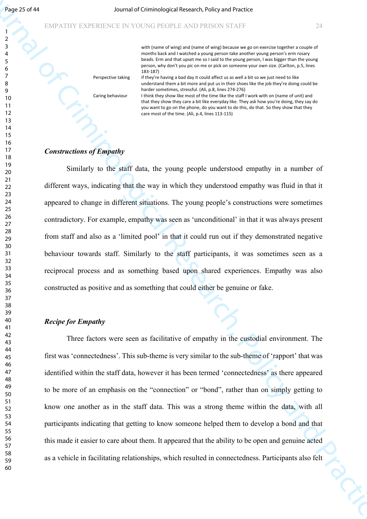with (name of wing) and (name of wing) because we go on exercise together a couple of months back and I watched a young person take another young person's erm rosary beads. Erm and that upset me so I said to the young person, I was bigger than the young person, why don't you pic on me or pick on someone your own size. (Carlton, p.5, lines 183-187) if they're having a bad day it could affect us as well a bit so we just need to like understand them a bit more and put us in their shoes like the job they're doing could be harder sometimes, stressful. (Ali, p.8, lines 274-276)

Caring behaviour

Perspective taking

I think they show like most of the time like the staff I work with on (name of unit) and that they show they care a bit like everyday like. They ask how you're doing, they say do you want to go on the phone, do you want to do this, do that. So they show that they care most of the time. (Ali, p.4, lines 113-115)

### *Constructions of Empathy*

Sings 2024<br>
FARVENTY ESTERING IN CONSULTATION (SCIENCING INTERNATION)<br>
FOR DETAILS IN A CONSULTATION CONSULTATION CONSULTATION (SCIENCING INTERNATION)<br>
THE CRIMINAL ORDER IN A CONSULTATION CONSULTATION CONSULTATION CONSUL Similarly to the staff data, the young people understood empathy in a number of different ways, indicating that the way in which they understood empathy was fluid in that it appeared to change in different situations. The young people's constructions were sometimes contradictory. For example, empathy was seen as 'unconditional' in that it was always present from staff and also as a 'limited pool' in that it could run out if they demonstrated negative behaviour towards staff. Similarly to the staff participants, it was sometimes seen as a reciprocal process and as something based upon shared experiences. Empathy was also constructed as positive and as something that could either be genuine or fake.

#### *Recipe for Empathy*

Three factors were seen as facilitative of empathy in the custodial environment. The first was 'connectedness'. This sub-theme is very similar to the sub-theme of 'rapport' that was identified within the staff data, however it has been termed 'connectedness' as there appeared to be more of an emphasis on the "connection" or "bond", rather than on simply getting to know one another as in the staff data. This was a strong theme within the data, with all participants indicating that getting to know someone helped them to develop a bond and that this made it easier to care about them. It appeared that the ability to be open and genuine acted as a vehicle in facilitating relationships, which resulted in connectedness. Participants also felt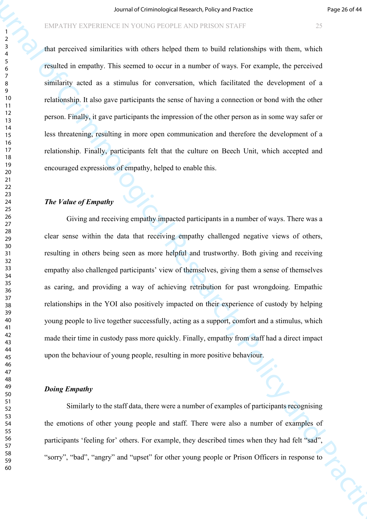that perceived similarities with others helped them to build relationships with them, which resulted in empathy. This seemed to occur in a number of ways. For example, the perceived similarity acted as a stimulus for conversation, which facilitated the development of a relationship. It also gave participants the sense of having a connection or bond with the other person. Finally, it gave participants the impression of the other person as in some way safer or less threatening, resulting in more open communication and therefore the development of a relationship. Finally, participants felt that the culture on Beech Unit, which accepted and encouraged expressions of empathy, helped to enable this.

#### *The Value of Empathy*

Fourthermological Research of Criminological Research of Criminal Research of the Second Associates ( $\frac{1}{2}$  And procedure in the Criminal Second Research of Practice Practice Practice Practice Practice Practice Practic Giving and receiving empathy impacted participants in a number of ways. There was a clear sense within the data that receiving empathy challenged negative views of others, resulting in others being seen as more helpful and trustworthy. Both giving and receiving empathy also challenged participants' view of themselves, giving them a sense of themselves as caring, and providing a way of achieving retribution for past wrongdoing. Empathic relationships in the YOI also positively impacted on their experience of custody by helping young people to live together successfully, acting as a support, comfort and a stimulus, which made their time in custody pass more quickly. Finally, empathy from staff had a direct impact upon the behaviour of young people, resulting in more positive behaviour.

# *Doing Empathy*

Similarly to the staff data, there were a number of examples of participants recognising the emotions of other young people and staff. There were also a number of examples of participants 'feeling for' others. For example, they described times when they had felt "sad", "sorry", "bad", "angry" and "upset" for other young people or Prison Officers in response to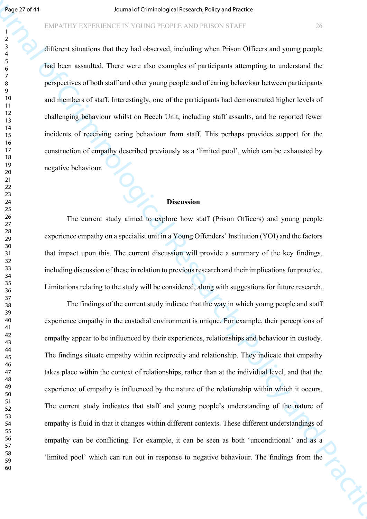# EMPATHY EXPERIENCE IN YOUNG PEOPLE AND PRISON STAFF 26

different situations that they had observed, including when Prison Officers and young people had been assaulted. There were also examples of participants attempting to understand the perspectives of both staff and other young people and of caring behaviour between participants and members of staff. Interestingly, one of the participants had demonstrated higher levels of challenging behaviour whilst on Beech Unit, including staff assaults, and he reported fewer incidents of receiving caring behaviour from staff. This perhaps provides support for the construction of empathy described previously as a 'limited pool', which can be exhausted by negative behaviour.

#### **Discussion**

The current study aimed to explore how staff (Prison Officers) and young people experience empathy on a specialist unit in a Young Offenders' Institution (YOI) and the factors that impact upon this. The current discussion will provide a summary of the key findings, including discussion of these in relation to previous research and their implications for practice. Limitations relating to the study will be considered, along with suggestions for future research.

**Figure 2014 11**<br>
Figure 4 that the statistics in the Voltache Professor of Grand Scheme in the Scheme of Criminal of Criminal of Criminal of Criminal of Criminal of Criminal of Criminal of Criminal Criminal Professor of The findings of the current study indicate that the way in which young people and staff experience empathy in the custodial environment is unique. For example, their perceptions of empathy appear to be influenced by their experiences, relationships and behaviour in custody. The findings situate empathy within reciprocity and relationship. They indicate that empathy takes place within the context of relationships, rather than at the individual level, and that the experience of empathy is influenced by the nature of the relationship within which it occurs. The current study indicates that staff and young people's understanding of the nature of empathy is fluid in that it changes within different contexts. These different understandings of empathy can be conflicting. For example, it can be seen as both 'unconditional' and as a 'limited pool' which can run out in response to negative behaviour. The findings from the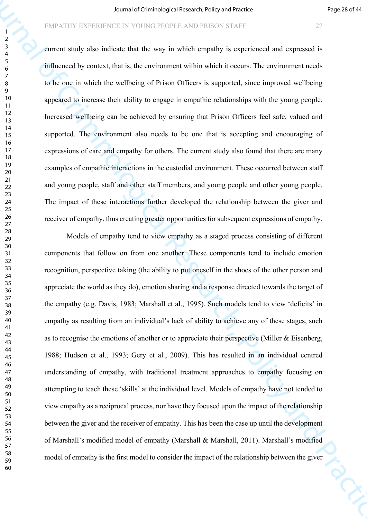current study also indicate that the way in which empathy is experienced and expressed is influenced by context, that is, the environment within which it occurs. The environment needs to be one in which the wellbeing of Prison Officers is supported, since improved wellbeing appeared to increase their ability to engage in empathic relationships with the young people. Increased wellbeing can be achieved by ensuring that Prison Officers feel safe, valued and supported. The environment also needs to be one that is accepting and encouraging of expressions of care and empathy for others. The current study also found that there are many examples of empathic interactions in the custodial environment. These occurred between staff and young people, staff and other staff members, and young people and other young people. The impact of these interactions further developed the relationship between the giver and receiver of empathy, thus creating greater opportunities for subsequent expressions of empathy.

Fourthermore that the median relationship is the computer of the median relationship is a median relationship in the computer of the median relationship is a state of the median relationship is a state of the computer of Models of empathy tend to view empathy as a staged process consisting of different components that follow on from one another. These components tend to include emotion recognition, perspective taking (the ability to put oneself in the shoes of the other person and appreciate the world as they do), emotion sharing and a response directed towards the target of the empathy (e.g. Davis, 1983; Marshall et al., 1995). Such models tend to view 'deficits' in empathy as resulting from an individual's lack of ability to achieve any of these stages, such as to recognise the emotions of another or to appreciate their perspective (Miller & Eisenberg, 1988; Hudson et al., 1993; Gery et al., 2009). This has resulted in an individual centred understanding of empathy, with traditional treatment approaches to empathy focusing on attempting to teach these 'skills' at the individual level. Models of empathy have not tended to view empathy as a reciprocal process, nor have they focused upon the impact of the relationship between the giver and the receiver of empathy. This has been the case up until the development of Marshall's modified model of empathy (Marshall & Marshall, 2011). Marshall's modified model of empathy is the first model to consider the impact of the relationship between the giver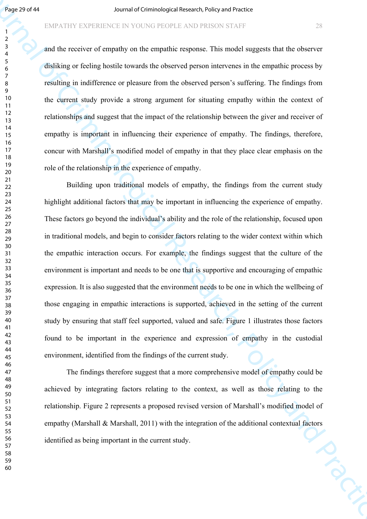#### EMPATHY EXPERIENCE IN YOUNG PEOPLE AND PRISON STAFF 28

and the receiver of empathy on the empathic response. This model suggests that the observer disliking or feeling hostile towards the observed person intervenes in the empathic process by resulting in indifference or pleasure from the observed person's suffering. The findings from the current study provide a strong argument for situating empathy within the context of relationships and suggest that the impact of the relationship between the giver and receiver of empathy is important in influencing their experience of empathy. The findings, therefore, concur with Marshall's modified model of empathy in that they place clear emphasis on the role of the relationship in the experience of empathy.

**Figure 2019)**<br>
FIRAL INTERTATION IS DESCRIPTION INTO THE CONTRACT CONTRACT CONTRACT CONTRACT CONTRACT CONTRACT CONTRACT CONTRACT CONTRACT CONTRACT CONTRACT CONTRACT CONTRACT CONTRACT CONTRACT CONTRACT CONTRACT CONTRACT C Building upon traditional models of empathy, the findings from the current study highlight additional factors that may be important in influencing the experience of empathy. These factors go beyond the individual's ability and the role of the relationship, focused upon in traditional models, and begin to consider factors relating to the wider context within which the empathic interaction occurs. For example, the findings suggest that the culture of the environment is important and needs to be one that is supportive and encouraging of empathic expression. It is also suggested that the environment needs to be one in which the wellbeing of those engaging in empathic interactions is supported, achieved in the setting of the current study by ensuring that staff feel supported, valued and safe. Figure 1 illustrates those factors found to be important in the experience and expression of empathy in the custodial environment, identified from the findings of the current study.

The findings therefore suggest that a more comprehensive model of empathy could be achieved by integrating factors relating to the context, as well as those relating to the relationship. Figure 2 represents a proposed revised version of Marshall's modified model of empathy (Marshall & Marshall, 2011) with the integration of the additional contextual factors<br>identified as being important in the current study. identified as being important in the current study.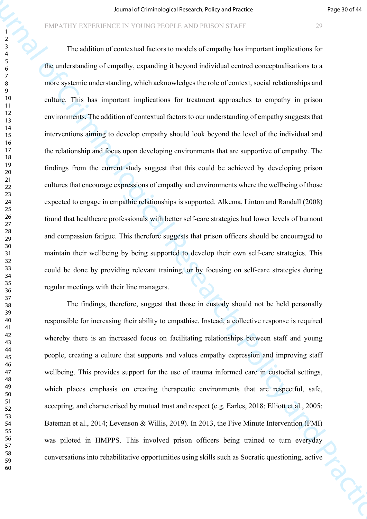Journal of Criminological Research violing of Practices (2013)<br>
Detailed Criminological Research (2013)<br>
The indicerned of Criminological Research (2013)<br>
The indicerned of Criminological Research (2013)<br>
The indicerned o The addition of contextual factors to models of empathy has important implications for the understanding of empathy, expanding it beyond individual centred conceptualisations to a more systemic understanding, which acknowledges the role of context, social relationships and culture. This has important implications for treatment approaches to empathy in prison environments. The addition of contextual factors to our understanding of empathy suggests that interventions aiming to develop empathy should look beyond the level of the individual and the relationship and focus upon developing environments that are supportive of empathy. The findings from the current study suggest that this could be achieved by developing prison cultures that encourage expressions of empathy and environments where the wellbeing of those expected to engage in empathic relationships is supported. Alkema, Linton and Randall (2008) found that healthcare professionals with better self-care strategies had lower levels of burnout and compassion fatigue. This therefore suggests that prison officers should be encouraged to maintain their wellbeing by being supported to develop their own self-care strategies. This could be done by providing relevant training, or by focusing on self-care strategies during regular meetings with their line managers.

The findings, therefore, suggest that those in custody should not be held personally responsible for increasing their ability to empathise. Instead, a collective response is required whereby there is an increased focus on facilitating relationships between staff and young people, creating a culture that supports and values empathy expression and improving staff wellbeing. This provides support for the use of trauma informed care in custodial settings, which places emphasis on creating therapeutic environments that are respectful, safe, accepting, and characterised by mutual trust and respect (e.g. Earles, 2018; Elliott et al., 2005; Bateman et al., 2014; Levenson & Willis, 2019). In 2013, the Five Minute Intervention (FMI) was piloted in HMPPS. This involved prison officers being trained to turn everyday conversations into rehabilitative opportunities using skills such as Socratic questioning, active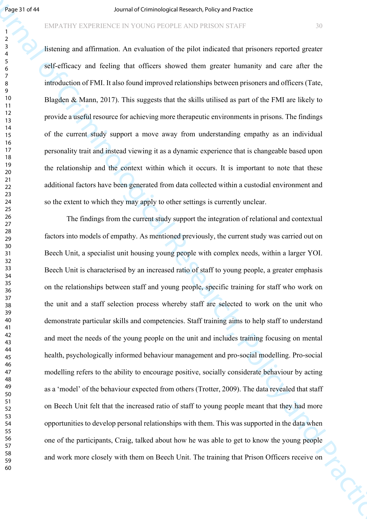#### EMPATHY EXPERIENCE IN YOUNG PEOPLE AND PRISON STAFF 30

listening and affirmation. An evaluation of the pilot indicated that prisoners reported greater self-efficacy and feeling that officers showed them greater humanity and care after the introduction of FMI. It also found improved relationships between prisoners and officers (Tate, Blagden & Mann, 2017). This suggests that the skills utilised as part of the FMI are likely to provide a useful resource for achieving more therapeutic environments in prisons. The findings of the current study support a move away from understanding empathy as an individual personality trait and instead viewing it as a dynamic experience that is changeable based upon the relationship and the context within which it occurs. It is important to note that these additional factors have been generated from data collected within a custodial environment and so the extent to which they may apply to other settings is currently unclear.

Journal of Criminological Research, Policy and Practice The findings from the current study support the integration of relational and contextual factors into models of empathy. As mentioned previously, the current study was carried out on Beech Unit, a specialist unit housing young people with complex needs, within a larger YOI. Beech Unit is characterised by an increased ratio of staff to young people, a greater emphasis on the relationships between staff and young people, specific training for staff who work on the unit and a staff selection process whereby staff are selected to work on the unit who demonstrate particular skills and competencies. Staff training aims to help staff to understand and meet the needs of the young people on the unit and includes training focusing on mental health, psychologically informed behaviour management and pro-social modelling. Pro-social modelling refers to the ability to encourage positive, socially considerate behaviour by acting as a 'model' of the behaviour expected from others (Trotter, 2009). The data revealed that staff on Beech Unit felt that the increased ratio of staff to young people meant that they had more opportunities to develop personal relationships with them. This was supported in the data when one of the participants, Craig, talked about how he was able to get to know the young people and work more closely with them on Beech Unit. The training that Prison Officers receive on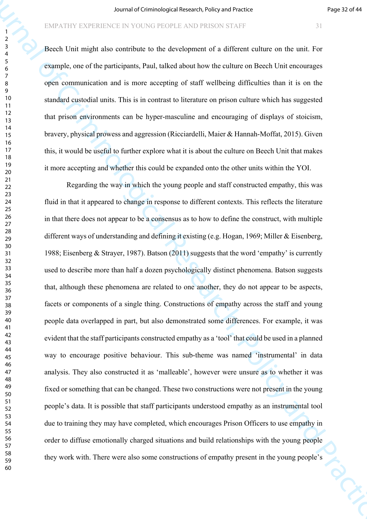Beech Unit might also contribute to the development of a different culture on the unit. For example, one of the participants, Paul, talked about how the culture on Beech Unit encourages open communication and is more accepting of staff wellbeing difficulties than it is on the standard custodial units. This is in contrast to literature on prison culture which has suggested that prison environments can be hyper-masculine and encouraging of displays of stoicism, bravery, physical prowess and aggression (Ricciardelli, Maier & Hannah-Moffat, 2015). Given this, it would be useful to further explore what it is about the culture on Beech Unit that makes it more accepting and whether this could be expanded onto the other units within the YOI.

Fourthermore the procedure of Criminological Research of Eq. 22.2444<br>
The characteristic in the determinent of a different culture on the art is the company<br>
Fourth Criminological Research of a different culture on the ar Regarding the way in which the young people and staff constructed empathy, this was fluid in that it appeared to change in response to different contexts. This reflects the literature in that there does not appear to be a consensus as to how to define the construct, with multiple different ways of understanding and defining it existing (e.g. Hogan, 1969; Miller & Eisenberg, 1988; Eisenberg & Strayer, 1987). Batson (2011) suggests that the word 'empathy' is currently used to describe more than half a dozen psychologically distinct phenomena. Batson suggests that, although these phenomena are related to one another, they do not appear to be aspects, facets or components of a single thing. Constructions of empathy across the staff and young people data overlapped in part, but also demonstrated some differences. For example, it was evident that the staff participants constructed empathy as a 'tool' that could be used in a planned way to encourage positive behaviour. This sub-theme was named 'instrumental' in data analysis. They also constructed it as 'malleable', however were unsure as to whether it was fixed or something that can be changed. These two constructions were not present in the young people's data. It is possible that staff participants understood empathy as an instrumental tool due to training they may have completed, which encourages Prison Officers to use empathy in order to diffuse emotionally charged situations and build relationships with the young people they work with. There were also some constructions of empathy present in the young people's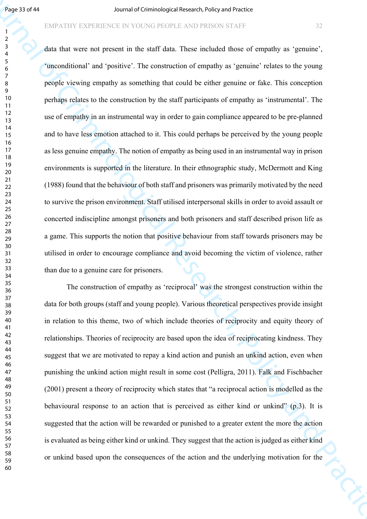#### EMPATHY EXPERIENCE IN YOUNG PEOPLE AND PRISON STAFF 32

**Figure 1974**<br> **Example 1974**<br> **Example 200 Example 1989 Consider the Society of Consider the Criminal Brown of empiring an interaction of the case of the present of Criminal Brown of empiring the consideration of the** data that were not present in the staff data. These included those of empathy as 'genuine', 'unconditional' and 'positive'. The construction of empathy as 'genuine' relates to the young people viewing empathy as something that could be either genuine or fake. This conception perhaps relates to the construction by the staff participants of empathy as 'instrumental'. The use of empathy in an instrumental way in order to gain compliance appeared to be pre-planned and to have less emotion attached to it. This could perhaps be perceived by the young people as less genuine empathy. The notion of empathy as being used in an instrumental way in prison environments is supported in the literature. In their ethnographic study, McDermott and King (1988) found that the behaviour of both staff and prisoners was primarily motivated by the need to survive the prison environment. Staff utilised interpersonal skills in order to avoid assault or concerted indiscipline amongst prisoners and both prisoners and staff described prison life as a game. This supports the notion that positive behaviour from staff towards prisoners may be utilised in order to encourage compliance and avoid becoming the victim of violence, rather than due to a genuine care for prisoners.

The construction of empathy as 'reciprocal' was the strongest construction within the data for both groups (staff and young people). Various theoretical perspectives provide insight in relation to this theme, two of which include theories of reciprocity and equity theory of relationships. Theories of reciprocity are based upon the idea of reciprocating kindness. They suggest that we are motivated to repay a kind action and punish an unkind action, even when punishing the unkind action might result in some cost (Pelligra, 2011). Falk and Fischbacher (2001) present a theory of reciprocity which states that "a reciprocal action is modelled as the behavioural response to an action that is perceived as either kind or unkind" (p.3). It is suggested that the action will be rewarded or punished to a greater extent the more the action is evaluated as being either kind or unkind. They suggest that the action is judged as either kind or unkind based upon the consequences of the action and the underlying motivation for the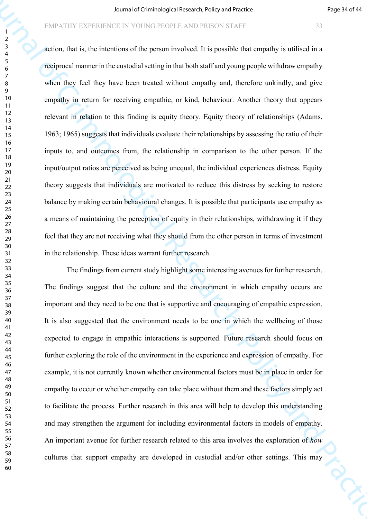Fourthelm Control of Criminological Research violing of Figure 2160 in the Criminal Control of the Criminal Research (Figure 216) and  $\frac{1}{2}$ <br>
Society, that is, the interdent of the general Research (Figure 2008) is the action, that is, the intentions of the person involved. It is possible that empathy is utilised in a reciprocal manner in the custodial setting in that both staff and young people withdraw empathy when they feel they have been treated without empathy and, therefore unkindly, and give empathy in return for receiving empathic, or kind, behaviour. Another theory that appears relevant in relation to this finding is equity theory. Equity theory of relationships (Adams, 1963; 1965) suggests that individuals evaluate their relationships by assessing the ratio of their inputs to, and outcomes from, the relationship in comparison to the other person. If the input/output ratios are perceived as being unequal, the individual experiences distress. Equity theory suggests that individuals are motivated to reduce this distress by seeking to restore balance by making certain behavioural changes. It is possible that participants use empathy as a means of maintaining the perception of equity in their relationships, withdrawing it if they feel that they are not receiving what they should from the other person in terms of investment in the relationship. These ideas warrant further research.

The findings from current study highlight some interesting avenues for further research. The findings suggest that the culture and the environment in which empathy occurs are important and they need to be one that is supportive and encouraging of empathic expression. It is also suggested that the environment needs to be one in which the wellbeing of those expected to engage in empathic interactions is supported. Future research should focus on further exploring the role of the environment in the experience and expression of empathy. For example, it is not currently known whether environmental factors must be in place in order for empathy to occur or whether empathy can take place without them and these factors simply act to facilitate the process. Further research in this area will help to develop this understanding and may strengthen the argument for including environmental factors in models of empathy. An important avenue for further research related to this area involves the exploration of *how* cultures that support empathy are developed in custodial and/or other settings. This may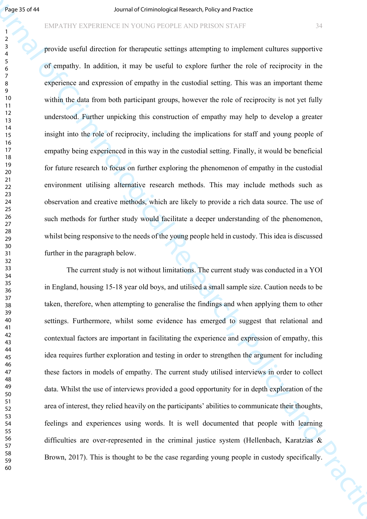#### EMPATHY EXPERIENCE IN YOUNG PEOPLE AND PRISON STAFF 34

**Figure 1997**<br> **Sociological Research is the criminal of Criminal Schemestre College and The Criminal Schemestre College and Criminal Schemestre College and Criminal Schemestre College and Criminal Schemestre College and** provide useful direction for therapeutic settings attempting to implement cultures supportive of empathy. In addition, it may be useful to explore further the role of reciprocity in the experience and expression of empathy in the custodial setting. This was an important theme within the data from both participant groups, however the role of reciprocity is not yet fully understood. Further unpicking this construction of empathy may help to develop a greater insight into the role of reciprocity, including the implications for staff and young people of empathy being experienced in this way in the custodial setting. Finally, it would be beneficial for future research to focus on further exploring the phenomenon of empathy in the custodial environment utilising alternative research methods. This may include methods such as observation and creative methods, which are likely to provide a rich data source. The use of such methods for further study would facilitate a deeper understanding of the phenomenon, whilst being responsive to the needs of the young people held in custody. This idea is discussed further in the paragraph below.

The current study is not without limitations. The current study was conducted in a YOI in England, housing 15-18 year old boys, and utilised a small sample size. Caution needs to be taken, therefore, when attempting to generalise the findings and when applying them to other settings. Furthermore, whilst some evidence has emerged to suggest that relational and contextual factors are important in facilitating the experience and expression of empathy, this idea requires further exploration and testing in order to strengthen the argument for including these factors in models of empathy. The current study utilised interviews in order to collect data. Whilst the use of interviews provided a good opportunity for in depth exploration of the area of interest, they relied heavily on the participants' abilities to communicate their thoughts, feelings and experiences using words. It is well documented that people with learning difficulties are over-represented in the criminal justice system (Hellenbach, Karatzias & Brown, 2017). This is thought to be the case regarding young people in custody specifically.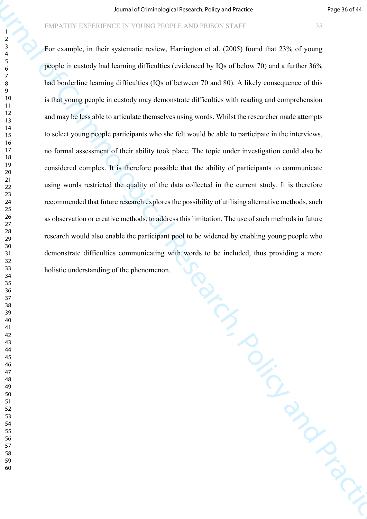The CRISCON STAFF PARTICLE FROM STAFF PARTICLE FROM STAFF 25 SOMETAURE ON A REVISION STAFF 25 SOMETIME RESEARCH TO TO UNITED THE SCRIPT OF CHIMITED STAFF 2.5 TO UNITED STAFF DESCRIPTION ON THE STAFF CHIMITED STAFF DESCRIPT For example, in their systematic review, Harrington et al. (2005) found that 23% of young people in custody had learning difficulties (evidenced by IQs of below 70) and a further 36% had borderline learning difficulties (IQs of between 70 and 80). A likely consequence of this is that young people in custody may demonstrate difficulties with reading and comprehension and may be less able to articulate themselves using words. Whilst the researcher made attempts to select young people participants who she felt would be able to participate in the interviews, no formal assessment of their ability took place. The topic under investigation could also be considered complex. It is therefore possible that the ability of participants to communicate using words restricted the quality of the data collected in the current study. It is therefore recommended that future research explores the possibility of utilising alternative methods, such as observation or creative methods, to address this limitation. The use of such methods in future research would also enable the participant pool to be widened by enabling young people who demonstrate difficulties communicating with words to be included, thus providing a more holistic understanding of the phenomenon.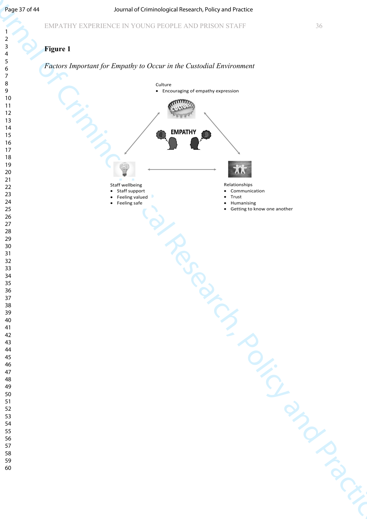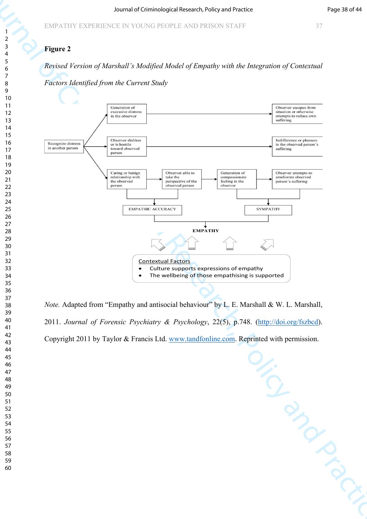# **Figure 2**

*Revised Version of Marshall's Modified Model of Empathy with the Integration of Contextual Factors Identified from the Current Study*



*Note.* Adapted from "Empathy and antisocial behaviour" by L. E. Marshall & W. L. Marshall, 2011. *Journal of Forensic Psychiatry & Psychology*, 22(5), p.748. (http://doi.org/fszbcd). Copyright 2011 by Taylor & Francis Ltd. www.tandfonline.com. Reprinted with permission.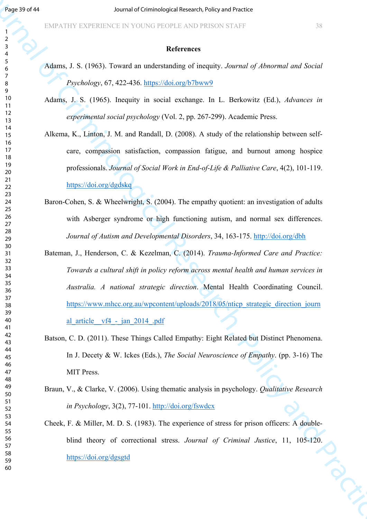#### **References**

- Adams, J. S. (1963). Toward an understanding of inequity. *Journal of Abnormal and Social Psychology*, 67, 422-436. https://doi.org/b7bww9
- Adams, J. S. (1965). Inequity in social exchange. In L. Berkowitz (Ed.), *Advances in experimental social psychology* (Vol. 2, pp. 267-299). Academic Press.
- Alkema, K., Linton, J. M. and Randall, D. (2008). A study of the relationship between selfcare, compassion satisfaction, compassion fatigue, and burnout among hospice professionals. *Journal of Social Work in End-of-Life & Palliative Care*, 4(2), 101-119. https://doi.org/dgdskq
- Baron-Cohen, S. & Wheelwright, S. (2004). The empathy quotient: an investigation of adults with Asberger syndrome or high functioning autism, and normal sex differences. *Journal of Autism and Developmental Disorders*, 34, 163-175. http://doi.org/dbh
- **Figure 1974**<br>
FATA TENTATION CONTROL CONTROL CONTROL CONTROL CONTROL CONTROL CONTROL CONTROL CONTROL CONTROL CONTROL CONTROL CONTROL CONTROL CONTROL CONTROL CONTROL CONTROL CONTROL CONTROL CONTROL CONTROL CONTROL CONTROL Bateman, J., Henderson, C. & Kezelman, C. (2014). *Trauma-Informed Care and Practice: Towards a cultural shift in policy reform across mental health and human services in Australia. A national strategic direction*. Mental Health Coordinating Council. https://www.mhcc.org.au/wpcontent/uploads/2018/05/nticp\_strategic\_direction\_journ al article  $v f4 - j a n 2014$ .pdf
	- Batson, C. D. (2011). These Things Called Empathy: Eight Related but Distinct Phenomena. In J. Decety & W. Ickes (Eds.), *The Social Neuroscience of Empathy*. (pp. 3-16) The MIT Press.
	- Braun, V., & Clarke, V. (2006). Using thematic analysis in psychology. *Qualitative Research in Psychology*, 3(2), 77-101. http://doi.org/fswdcx
	- Cheek, F. & Miller, M. D. S. (1983). The experience of stress for prison officers: A doubleblind theory of correctional stress. *Journal of Criminal Justice*, 11, 105-120.<br>
	https://doi.org/dgsgtd<br>
	entry of correctional stress. *Journal of Criminal Justice*, 11, 105-120. https://doi.org/dgsgtd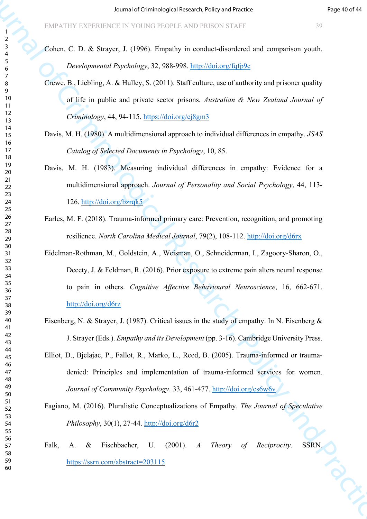Cohen, C. D. & Strayer, J. (1996). Empathy in conduct-disordered and comparison youth. *Developmental Psychology*, 32, 988-998. http://doi.org/fqfp9c

- Crewe, B., Liebling, A. & Hulley, S. (2011). Staff culture, use of authority and prisoner quality of life in public and private sector prisons. *Australian & New Zealand Journal of Criminology*, 44, 94-115. https://doi.org/cj8gm3
- Davis, M. H. (1980). A multidimensional approach to individual differences in empathy. *JSAS Catalog of Selected Documents in Psychology*, 10, 85.
- Davis, M. H. (1983). Measuring individual differences in empathy: Evidence for a multidimensional approach. *Journal of Personality and Social Psychology*, 44, 113- 126. http://doi.org/bzrqk5
- Earles, M. F. (2018). Trauma-informed primary care: Prevention, recognition, and promoting resilience. *North Carolina Medical Journal*, 79(2), 108-112. http://doi.org/d6rx

Source of Criminolo[gic](http://doi.org/bzrqk5)al Research with provide and computer and the system of Criminal Research (September 2014)<br>
Journal of C. D. A. Straight J. (1996). Frequen[cy](http://doi.org/cs6w6v) is the control of Criminal Systems and Practices and Prac Eidelman-Rothman, M., Goldstein, A., Weisman, O., Schneiderman, I., Zagoory-Sharon, O., Decety, J. & Feldman, R. (2016). Prior exposure to extreme pain alters neural response to pain in others. *Cognitive Affective Behavioural Neuroscience*, 16, 662-671. http://doi.org/d6rz

- Eisenberg, N. & Strayer, J. (1987). Critical issues in the study of empathy. In N. Eisenberg  $\&$ J. Strayer (Eds.). *Empathy and its Development* (pp. 3-16). Cambridge University Press.
- Elliot, D., Bjelajac, P., Fallot, R., Marko, L., Reed, B. (2005). Trauma-informed or traumadenied: Principles and implementation of trauma-informed services for women. *Journal of Community Psychology*. 33, 461-477. http://doi.org/cs6w6v

Fagiano, M. (2016). Pluralistic Conceptualizations of Empathy. *The Journal of Speculative Philosophy*, 30(1), 27-44. http://doi.org/d6r2

Falk, A. & Fischbacher, U. (2001). *A Theory of Reciprocity*. SSRN. https://ssrn.com/abstract=203115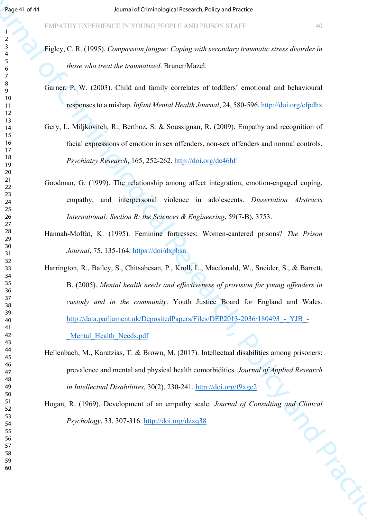- Figley, C. R. (1995). *Compassion fatigue: Coping with secondary traumatic stress disorder in those who treat the traumatized*. Bruner/Mazel.
- Garner, P. W. (2003). Child and family correlates of toddlers' emotional and behavioural responses to a mishap. *Infant Mental Health Journal*, 24, 580-596. http://doi.org/cfpdhx
- Gery, I., Miljkovitch, R., Berthoz, S. & Soussignan, R. (2009). Empathy and recognition of facial expressions of emotion in sex offenders, non-sex offenders and normal controls. *Psychiatry Research*, 165, 252-262. http://doi.org/dc46hf
- Goodman, G. (1999). The relationship among affect integration, emotion-engaged coping, empathy, and interpersonal violence in adolescents. *Dissertation Abstracts International: Section B: the Sciences & Engineering*, 59(7-B), 3753.
- Hannah-Moffat, K. (1995). Feminine fortresses: Women-cantered prisons? *The Prison Journal*, 75, 135-164. https://doi/dxpbsn
- **Figure 1998**<br>
Figure 1998 ENTAILMENT IS COUNTIER TRIST CAN DESCRIPT THE CONTRACT CONTRACT CONTRACT CONTRACT CONTRACT CONTRACT CONTRACT CONTRACT CONTRACT CONTRACT CONTRACT CONTRACT CONTRACT CONTRACT CONTRACT CONTRACT CONT Harrington, R., Bailey, S., Chitsabesan, P., Kroll, L., Macdonald, W., Sneider, S., & Barrett, B. (2005). *Mental health needs and effectiveness of provision for young offenders in custody and in the community*. Youth Justice Board for England and Wales. http://data.parliament.uk/DepositedPapers/Files/DEP2013-2036/180493 - YJB -

Mental Health Needs.pdf

Hellenbach, M., Karatzias, T. & Brown, M. (2017). Intellectual disabilities among prisoners: prevalence and mental and physical health comorbidities. *Journal of Applied Research in Intellectual Disabilities*, 30(2), 230-241. http://doi.org/f9xgc2

Hogan, R. (1969). Development of an empathy scale. *Journal of Consulting and Clinical Psychology*, 33, 307-316. http://doi.org/dzxq38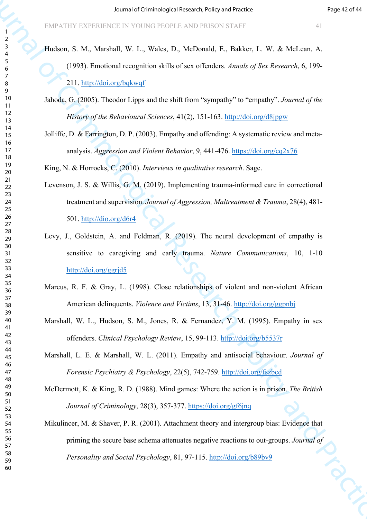- Hudson, S. M., Marshall, W. L., Wales, D., McDonald, E., Bakker, L. W. & McLean, A. (1993). Emotional recognition skills of sex offenders. *Annals of Sex Research*, 6, 199- 211. http://doi.org/bqkwqf
- Jahoda, G. (2005). Theodor Lipps and the shift from "sympathy" to "empathy". *Journal of the History of the Behavioural Sciences*, 41(2), 151-163. http://doi.org/d8jpgw
- Jolliffe, D. & Farrington, D. P. (2003). Empathy and offending: A systematic review and metaanalysis. *Aggression and Violent Behavior*, 9, 441-476. https://doi.org/cq2x76

King, N. & Horrocks, C. (2010). *Interviews in qualitative research*. Sage.

- Levenson, J. S. & Willis, G. M. (2019). Implementing trauma-informed care in correctional treatment and supervision. *Journal of Aggression, Maltreatment & Trauma*, 28(4), 481- 501. http://dio.org/d6r4
- For the Criminological Research of Criminological Research of Criminal Research of Criminal Criminal Criminal Criminal Criminal of Criminal Criminal Criminal Criminal Criminal Criminal Criminal Criminal Criminal Criminal Levy, J., Goldstein, A. and Feldman, R. (2019). The neural development of empathy is sensitive to caregiving and early trauma. *Nature Communications*, 10, 1-10 http://doi.org/ggrjd5
	- Marcus, R. F. & Gray, L. (1998). Close relationships of violent and non-violent African American delinquents. *Violence and Victims*, 13, 31-46. http://doi.org/ggpnbj
	- Marshall, W. L., Hudson, S. M., Jones, R. & Fernandez, Y. M. (1995). Empathy in sex offenders. *Clinical Psychology Review*, 15, 99-113. http://doi.org/b5537r
	- Marshall, L. E. & Marshall, W. L. (2011). Empathy and antisocial behaviour. *Journal of Forensic Psychiatry & Psychology*, 22(5), 742-759. http://doi.org/fszbcd
	- McDermott, K. & King, R. D. (1988). Mind games: Where the action is in prison. *The British Journal of Criminology*, 28(3), 357-377. https://doi.org/gf6jnq
	- Mikulincer, M. & Shaver, P. R. (2001). Attachment theory and intergroup bias: Evidence that priming the secure base schema attenuates negative reactions to out-groups. *Journal of* Personality and Social Psychology, 81, 97-115. http://doi.org/b89bv9 *Personality and Social Psychology*, 81, 97-115. http://doi.org/b89bv9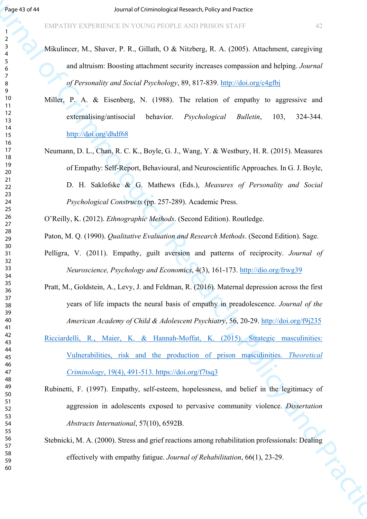- Mikulincer, M., Shaver, P. R., Gillath, O & Nitzberg, R. A. (2005). Attachment, caregiving and altruism: Boosting attachment security increases compassion and helping. *Journal of Personality and Social Psychology*, 89, 817-839. http://doi.org/c4gfbj
- Miller, P. A. & Eisenberg, N. (1988). The relation of empathy to aggressive and externalising/antisocial behavior. *Psychological Bulletin*, 103, 324-344. http://doi.org/dhdf68
- **Face 0.944**<br>
FERENTIFY ENTERTIFY INSTITUTE TO THE CRITICAL CONFIDENTIES CONTRACT INTO A NUMBER CONTRACT INTO A NUMBER CONTRACT CONTRACT INTO A CONFIDENTIAL CONTRACT INTO A REPORT OF THE CRIMINAL CONTRACT INTO A RESEARCH Neumann, D. L., Chan, R. C. K., Boyle, G. J., Wang, Y. & Westbury, H. R. (2015). Measures of Empathy: Self-Report, Behavioural, and Neuroscientific Approaches. In G. J. Boyle, D. H. Saklofske & G. Mathews (Eds.), *Measures of Personality and Social Psychological Constructs* (pp. 257-289). Academic Press.
	- O'Reilly, K. (2012). *Ethnographic Methods*. (Second Edition). Routledge.
	- Paton, M. Q. (1990). *Qualitative Evaluation and Research Methods*. (Second Edition). Sage.
	- Pelligra, V. (2011). Empathy, guilt aversion and patterns of reciprocity. *Journal of Neuroscience, Psychology and Economics*, 4(3), 161-173. http://dio.org/frwg39
	- Pratt, M., Goldstein, A., Levy, J. and Feldman, R. (2016). Maternal depression across the first years of life impacts the neural basis of empathy in preadolescence. *Journal of the American Academy of Child & Adolescent Psychiatry*, 56, 20-29. http://doi.org/f9j235
	- Ricciardelli, R., Maier, K. & Hannah-Moffat, K. (2015). Strategic masculinities: Vulnerabilities, risk and the production of prison masculinities. *Theoretical Criminology*, 19(4), 491-513. https://doi.org/f7tsq3
	- Rubinetti, F. (1997). Empathy, self-esteem, hopelessness, and belief in the legitimacy of aggression in adolescents exposed to pervasive community violence. *Dissertation Abstracts International*, 57(10), 6592B.
	- Stebnicki, M. A. (2000). Stress and grief reactions among rehabilitation professionals: Dealing<br>effectively with empathy fatigue. Journal of Rehabilitation, 66(1), 23-29. effectively with empathy fatigue. *Journal of Rehabilitation*, 66(1), 23-29.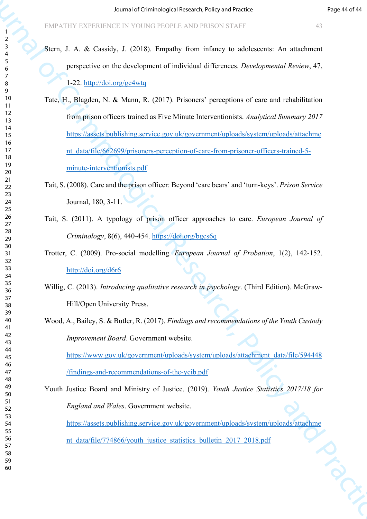- Stern, J. A. & Cassidy, J. (2018). Empathy from infancy to adolescents: An attachment perspective on the development of individual differences. *Developmental Review*, 47, 1-22. http://doi.org/gc4wtq
- Source of Cri[minolo](https://assets.publishing.service.gov.uk/government/uploads/system/uploads/attachment_data/file/662699/prisoners-perception-of-care-from-prisoner-officers-trained-5-minute-interventionists.pdf)gica[l R](https://doi.org/bgcs6q)esearch violing of Practice Criminal Research in the Carolina Research of Criminal Research of Criminal Research of Criminal Research of Criminal Research of Criminal Research of Criminal Practic Tate, H., Blagden, N. & Mann, R. (2017). Prisoners' perceptions of care and rehabilitation from prison officers trained as Five Minute Interventionists. *Analytical Summary 2017* https://assets.publishing.service.gov.uk/government/uploads/system/uploads/attachme nt\_data/file/662699/prisoners-perception-of-care-from-prisoner-officers-trained-5minute-interventionists.pdf
	- Tait, S. (2008). Care and the prison officer: Beyond 'care bears' and 'turn-keys'. *Prison Service*  Journal, 180, 3-11.
	- Tait, S. (2011). A typology of prison officer approaches to care. *European Journal of Criminology*, 8(6), 440-454. https://doi.org/bgcs6q
	- Trotter, C. (2009). Pro-social modelling. *European Journal of Probation*, 1(2), 142-152. http://doi.org/d6r6
	- Willig, C. (2013). *Introducing qualitative research in psychology*. (Third Edition). McGraw-Hill/Open University Press.
	- Wood, A., Bailey, S. & Butler, R. (2017). *Findings and recommendations of the Youth Custody Improvement Board*. Government website.

https://www.gov.uk/government/uploads/system/uploads/attachment\_data/file/594448 /findings-and-recommendations-of-the-ycib.pdf

Youth Justice Board and Ministry of Justice. (2019). *Youth Justice Statistics 2017/18 for England and Wales*. Government website. https://assets.publishing.service.gov.uk/government/uploads/system/uploads/attachme nt\_data/file/774866/youth\_justice\_statistics\_bulletin\_2017\_2018.pdf